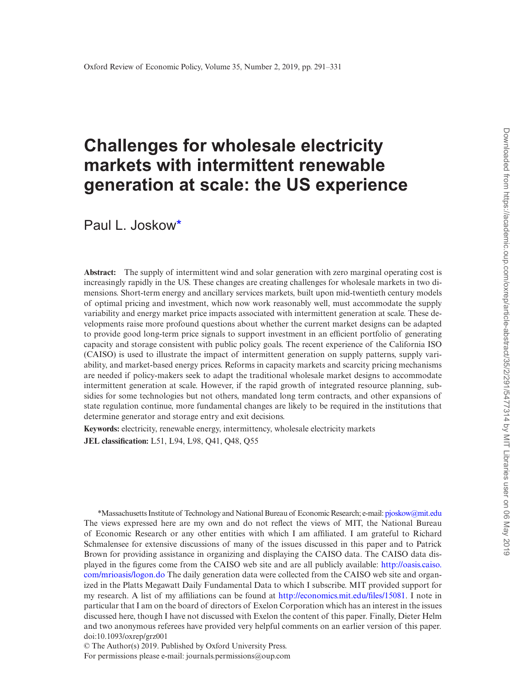# **Challenges for wholesale electricity markets with intermittent renewable generation at scale: the US experience**

Paul L. Joskow[\\*](#page-0-0)

**Abstract:** The supply of intermittent wind and solar generation with zero marginal operating cost is increasingly rapidly in the US. These changes are creating challenges for wholesale markets in two dimensions. Short-term energy and ancillary services markets, built upon mid-twentieth century models of optimal pricing and investment, which now work reasonably well, must accommodate the supply variability and energy market price impacts associated with intermittent generation at scale. These developments raise more profound questions about whether the current market designs can be adapted to provide good long-term price signals to support investment in an efficient portfolio of generating capacity and storage consistent with public policy goals. The recent experience of the California ISO (CAISO) is used to illustrate the impact of intermittent generation on supply patterns, supply variability, and market-based energy prices. Reforms in capacity markets and scarcity pricing mechanisms are needed if policy-makers seek to adapt the traditional wholesale market designs to accommodate intermittent generation at scale. However, if the rapid growth of integrated resource planning, subsidies for some technologies but not others, mandated long term contracts, and other expansions of state regulation continue, more fundamental changes are likely to be required in the institutions that determine generator and storage entry and exit decisions.

**Keywords:** electricity, renewable energy, intermittency, wholesale electricity markets **JEL classification:** L51, L94, L98, Q41, Q48, Q55

<span id="page-0-0"></span>doi:10.1093/oxrep/grz001 \*Massachusetts Institute of Technology and National Bureau of Economic Research; e-mail: [pjoskow@mit.edu](mailto:pjoskow@mit.edu?subject=) The views expressed here are my own and do not reflect the views of MIT, the National Bureau of Economic Research or any other entities with which I am affiliated. I am grateful to Richard Schmalensee for extensive discussions of many of the issues discussed in this paper and to Patrick Brown for providing assistance in organizing and displaying the CAISO data. The CAISO data displayed in the figures come from the CAISO web site and are all publicly available: [http://oasis.caiso.](http://oasis.caiso.com/mrioasis/logon.do) [com/mrioasis/logon.do](http://oasis.caiso.com/mrioasis/logon.do) The daily generation data were collected from the CAISO web site and organized in the Platts Megawatt Daily Fundamental Data to which I subscribe. MIT provided support for my research. A list of my affiliations can be found at <http://economics.mit.edu/files/15081>. I note in particular that I am on the board of directors of Exelon Corporation which has an interest in the issues discussed here, though I have not discussed with Exelon the content of this paper. Finally, Dieter Helm and two anonymous referees have provided very helpful comments on an earlier version of this paper.

© The Author(s) 2019. Published by Oxford University Press. For permissions please e-mail: journals.permissions@oup.com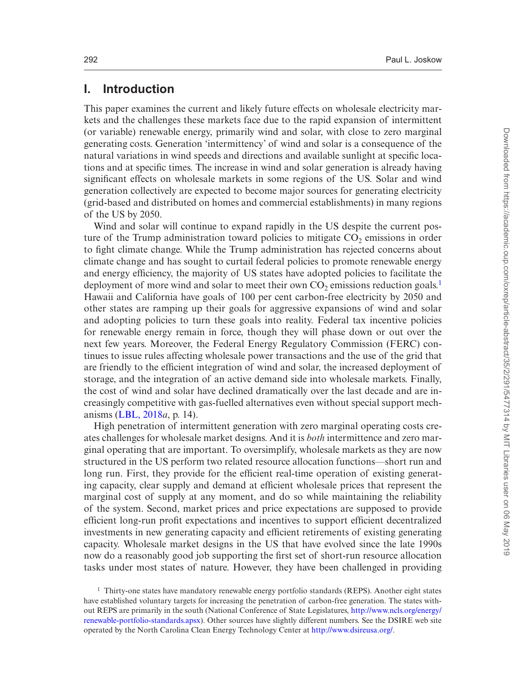# **I. Introduction**

This paper examines the current and likely future effects on wholesale electricity markets and the challenges these markets face due to the rapid expansion of intermittent (or variable) renewable energy, primarily wind and solar, with close to zero marginal generating costs. Generation 'intermittency' of wind and solar is a consequence of the natural variations in wind speeds and directions and available sunlight at specific locations and at specific times. The increase in wind and solar generation is already having significant effects on wholesale markets in some regions of the US. Solar and wind generation collectively are expected to become major sources for generating electricity (grid-based and distributed on homes and commercial establishments) in many regions of the US by 2050.

Wind and solar will continue to expand rapidly in the US despite the current posture of the Trump administration toward policies to mitigate  $CO<sub>2</sub>$  emissions in order to fight climate change. While the Trump administration has rejected concerns about climate change and has sought to curtail federal policies to promote renewable energy and energy efficiency, the majority of US states have adopted policies to facilitate the deployment of more wind and solar to meet their own  $CO<sub>2</sub>$  emissions reduction goals.<sup>[1](#page-1-0)</sup> Hawaii and California have goals of 100 per cent carbon-free electricity by 2050 and other states are ramping up their goals for aggressive expansions of wind and solar and adopting policies to turn these goals into reality. Federal tax incentive policies for renewable energy remain in force, though they will phase down or out over the next few years. Moreover, the Federal Energy Regulatory Commission (FERC) continues to issue rules affecting wholesale power transactions and the use of the grid that are friendly to the efficient integration of wind and solar, the increased deployment of storage, and the integration of an active demand side into wholesale markets. Finally, the cost of wind and solar have declined dramatically over the last decade and are increasingly competitive with gas-fuelled alternatives even without special support mechanisms [\(LBL, 2018](#page-40-0)*a*, p. 14).

High penetration of intermittent generation with zero marginal operating costs creates challenges for wholesale market designs. And it is *both* intermittence and zero marginal operating that are important. To oversimplify, wholesale markets as they are now structured in the US perform two related resource allocation functions—short run and long run. First, they provide for the efficient real-time operation of existing generating capacity, clear supply and demand at efficient wholesale prices that represent the marginal cost of supply at any moment, and do so while maintaining the reliability of the system. Second, market prices and price expectations are supposed to provide efficient long-run profit expectations and incentives to support efficient decentralized investments in new generating capacity and efficient retirements of existing generating capacity. Wholesale market designs in the US that have evolved since the late 1990s now do a reasonably good job supporting the first set of short-run resource allocation tasks under most states of nature. However, they have been challenged in providing

<span id="page-1-0"></span><sup>&</sup>lt;sup>1</sup> Thirty-one states have mandatory renewable energy portfolio standards (REPS). Another eight states have established voluntary targets for increasing the penetration of carbon-free generation. The states without REPS are primarily in the south (National Conference of State Legislatures, [http://www.ncls.org/energy/](http://www.ncls.org/energy/renewable-portfolio-standards.apsx) [renewable-portfolio-standards.apsx](http://www.ncls.org/energy/renewable-portfolio-standards.apsx)). Other sources have slightly different numbers. See the DSIRE web site operated by the North Carolina Clean Energy Technology Center at<http://www.dsireusa.org/>.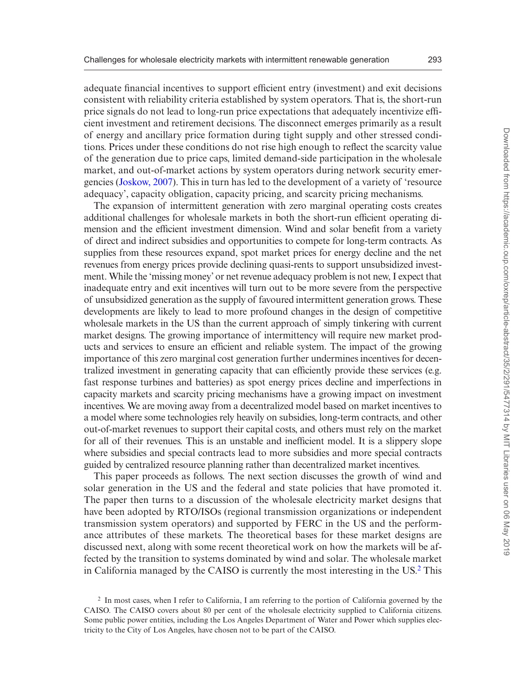adequate financial incentives to support efficient entry (investment) and exit decisions consistent with reliability criteria established by system operators. That is, the short-run price signals do not lead to long-run price expectations that adequately incentivize efficient investment and retirement decisions. The disconnect emerges primarily as a result of energy and ancillary price formation during tight supply and other stressed conditions. Prices under these conditions do not rise high enough to reflect the scarcity value of the generation due to price caps, limited demand-side participation in the wholesale market, and out-of-market actions by system operators during network security emergencies [\(Joskow, 2007\)](#page-39-0). This in turn has led to the development of a variety of 'resource adequacy', capacity obligation, capacity pricing, and scarcity pricing mechanisms.

The expansion of intermittent generation with zero marginal operating costs creates additional challenges for wholesale markets in both the short-run efficient operating dimension and the efficient investment dimension. Wind and solar benefit from a variety of direct and indirect subsidies and opportunities to compete for long-term contracts. As supplies from these resources expand, spot market prices for energy decline and the net revenues from energy prices provide declining quasi-rents to support unsubsidized investment. While the 'missing money' or net revenue adequacy problem is not new, I expect that inadequate entry and exit incentives will turn out to be more severe from the perspective of unsubsidized generation as the supply of favoured intermittent generation grows. These developments are likely to lead to more profound changes in the design of competitive wholesale markets in the US than the current approach of simply tinkering with current market designs. The growing importance of intermittency will require new market products and services to ensure an efficient and reliable system. The impact of the growing importance of this zero marginal cost generation further undermines incentives for decentralized investment in generating capacity that can efficiently provide these services (e.g. fast response turbines and batteries) as spot energy prices decline and imperfections in capacity markets and scarcity pricing mechanisms have a growing impact on investment incentives. We are moving away from a decentralized model based on market incentives to a model where some technologies rely heavily on subsidies, long-term contracts, and other out-of-market revenues to support their capital costs, and others must rely on the market for all of their revenues. This is an unstable and inefficient model. It is a slippery slope where subsidies and special contracts lead to more subsidies and more special contracts guided by centralized resource planning rather than decentralized market incentives.

This paper proceeds as follows. The next section discusses the growth of wind and solar generation in the US and the federal and state policies that have promoted it. The paper then turns to a discussion of the wholesale electricity market designs that have been adopted by RTO/ISOs (regional transmission organizations or independent transmission system operators) and supported by FERC in the US and the performance attributes of these markets. The theoretical bases for these market designs are discussed next, along with some recent theoretical work on how the markets will be affected by the transition to systems dominated by wind and solar. The wholesale market in California managed by the CAISO is currently the most interesting in the US[.2](#page-2-0) This

<span id="page-2-0"></span><sup>2</sup> In most cases, when I refer to California, I am referring to the portion of California governed by the CAISO. The CAISO covers about 80 per cent of the wholesale electricity supplied to California citizens. Some public power entities, including the Los Angeles Department of Water and Power which supplies electricity to the City of Los Angeles, have chosen not to be part of the CAISO.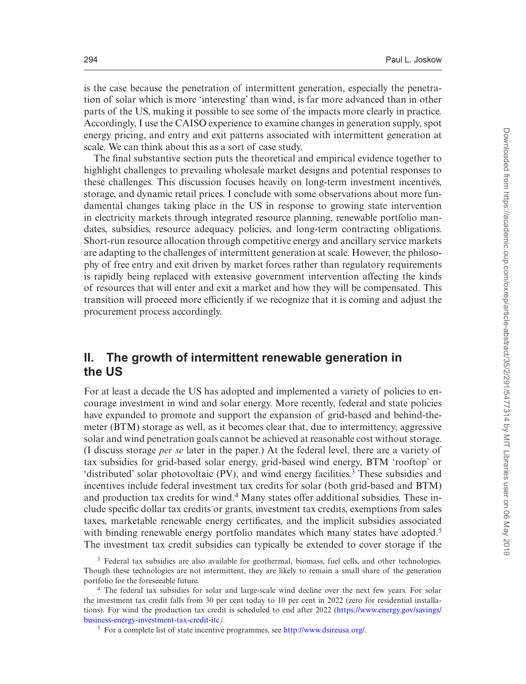is the case because the penetration of intermittent generation, especially the penetration of solar which is more 'interesting' than wind, is far more advanced than in other parts of the US, making it possible to see some of the impacts more clearly in practice. Accordingly, I use the CAISO experience to examine changes in generation supply, spot energy pricing, and entry and exit patterns associated with intermittent generation at scale. We can think about this as a sort of case study.

The final substantive section puts the theoretical and empirical evidence together to highlight challenges to prevailing wholesale market designs and potential responses to these challenges. This discussion focuses heavily on long-term investment incentives, storage, and dynamic retail prices. I conclude with some observations about more fundamental changes taking place in the US in response to growing state intervention in electricity markets through integrated resource planning, renewable portfolio mandates, subsidies, resource adequacy policies, and long-term contracting obligations. Short-run resource allocation through competitive energy and ancillary service markets are adapting to the challenges of intermittent generation at scale. However, the philosophy of free entry and exit driven by market forces rather than regulatory requirements is rapidly being replaced with extensive government intervention affecting the kinds of resources that will enter and exit a market and how they will be compensated. This transition will proceed more efficiently if we recognize that it is coming and adjust the procurement process accordingly.

## **II. The growth of intermittent renewable generation in the US**

For at least a decade the US has adopted and implemented a variety of policies to encourage investment in wind and solar energy. More recently, federal and state policies have expanded to promote and support the expansion of grid-based and behind-themeter (BTM) storage as well, as it becomes clear that, due to intermittency, aggressive solar and wind penetration goals cannot be achieved at reasonable cost without storage. (I discuss storage *per se* later in the paper.) At the federal level, there are a variety of tax subsidies for grid-based solar energy, grid-based wind energy, BTM 'rooftop' or 'distributed' solar photovoltaic (PV), and wind energy facilities[.3](#page-3-0) These subsidies and incentives include federal investment tax credits for solar (both grid-based and BTM) and production tax credits for wind[.4](#page-3-1) Many states offer additional subsidies. These include specific dollar tax credits or grants, investment tax credits, exemptions from sales taxes, marketable renewable energy certificates, and the implicit subsidies associated with binding renewable energy portfolio mandates which many states have adopted.<sup>[5](#page-3-2)</sup> The investment tax credit subsidies can typically be extended to cover storage if the

<span id="page-3-0"></span><sup>&</sup>lt;sup>3</sup> Federal tax subsidies are also available for geothermal, biomass, fuel cells, and other technologies. Though these technologies are not intermittent, they are likely to remain a small share of the generation portfolio for the foreseeable future.

<span id="page-3-1"></span><sup>4</sup> The federal tax subsidies for solar and large-scale wind decline over the next few years. For solar the investment tax credit falls from 30 per cent today to 10 per cent in 2022 (zero for residential installations). For wind the production tax credit is scheduled to end after 2022 [\(https://www.energy.gov/savings/](https://www.energy.gov/savings/business-energy-investment-tax-credit-itc) [business-energy-investment-tax-credit-itc](https://www.energy.gov/savings/business-energy-investment-tax-credit-itc)*).*

<span id="page-3-2"></span><sup>5</sup> For a complete list of state incentive programmes, see [http://www.dsireusa.org/.](http://www.dsireusa.org/)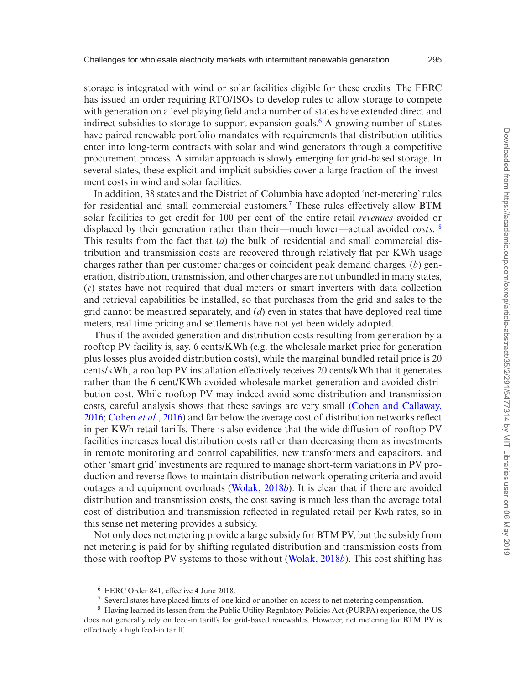storage is integrated with wind or solar facilities eligible for these credits. The FERC has issued an order requiring RTO/ISOs to develop rules to allow storage to compete with generation on a level playing field and a number of states have extended direct and indirect subsidies to storage to support expansion goals.<sup>6</sup> A growing number of states have paired renewable portfolio mandates with requirements that distribution utilities enter into long-term contracts with solar and wind generators through a competitive procurement process. A similar approach is slowly emerging for grid-based storage. In several states, these explicit and implicit subsidies cover a large fraction of the investment costs in wind and solar facilities.

In addition, 38 states and the District of Columbia have adopted 'net-metering' rules for residential and small commercial customers.[7](#page-4-1) These rules effectively allow BTM solar facilities to get credit for 100 per cent of the entire retail *revenues* avoided or displaced by their generation rather than their—much lower—actual avoided *costs*. [8](#page-4-2) This results from the fact that (*a*) the bulk of residential and small commercial distribution and transmission costs are recovered through relatively flat per KWh usage charges rather than per customer charges or coincident peak demand charges, (*b*) generation, distribution, transmission, and other charges are not unbundled in many states, (*c*) states have not required that dual meters or smart inverters with data collection and retrieval capabilities be installed, so that purchases from the grid and sales to the grid cannot be measured separately, and (*d*) even in states that have deployed real time meters, real time pricing and settlements have not yet been widely adopted.

Thus if the avoided generation and distribution costs resulting from generation by a rooftop PV facility is, say, 6 cents/KWh (e.g. the wholesale market price for generation plus losses plus avoided distribution costs), while the marginal bundled retail price is 20 cents/kWh, a rooftop PV installation effectively receives 20 cents/kWh that it generates rather than the 6 cent/KWh avoided wholesale market generation and avoided distribution cost. While rooftop PV may indeed avoid some distribution and transmission costs, careful analysis shows that these savings are very small [\(Cohen and Callaway,](#page-39-1) [2016;](#page-39-1) [Cohen](#page-39-2) *et al.*, 2016) and far below the average cost of distribution networks reflect in per KWh retail tariffs. There is also evidence that the wide diffusion of rooftop PV facilities increases local distribution costs rather than decreasing them as investments in remote monitoring and control capabilities, new transformers and capacitors, and other 'smart grid' investments are required to manage short-term variations in PV production and reverse flows to maintain distribution network operating criteria and avoid outages and equipment overloads ([Wolak, 2018](#page-40-1)*b*). It is clear that if there are avoided distribution and transmission costs, the cost saving is much less than the average total cost of distribution and transmission reflected in regulated retail per Kwh rates, so in this sense net metering provides a subsidy.

Not only does net metering provide a large subsidy for BTM PV, but the subsidy from net metering is paid for by shifting regulated distribution and transmission costs from those with rooftop PV systems to those without ([Wolak, 2018](#page-40-1)*b*). This cost shifting has

<span id="page-4-0"></span><sup>6</sup> FERC Order 841, effective 4 June 2018.

<span id="page-4-2"></span><span id="page-4-1"></span><sup>7</sup> Several states have placed limits of one kind or another on access to net metering compensation.

<sup>&</sup>lt;sup>8</sup> Having learned its lesson from the Public Utility Regulatory Policies Act (PURPA) experience, the US does not generally rely on feed-in tariffs for grid-based renewables. However, net metering for BTM PV is effectively a high feed-in tariff.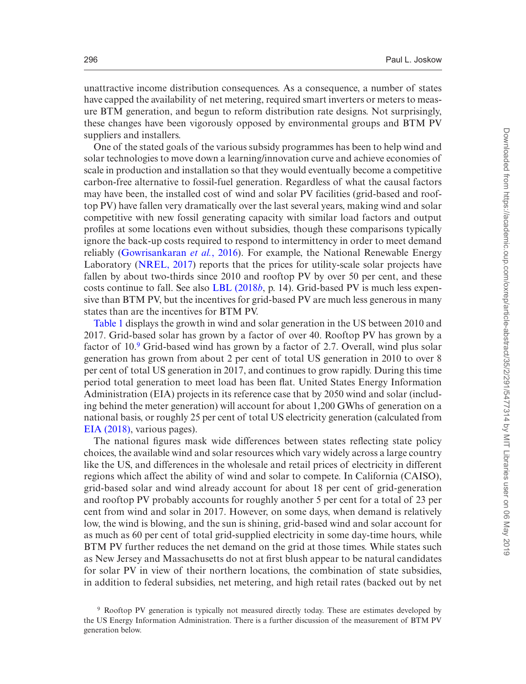unattractive income distribution consequences. As a consequence, a number of states have capped the availability of net metering, required smart inverters or meters to measure BTM generation, and begun to reform distribution rate designs. Not surprisingly, these changes have been vigorously opposed by environmental groups and BTM PV suppliers and installers.

One of the stated goals of the various subsidy programmes has been to help wind and solar technologies to move down a learning/innovation curve and achieve economies of scale in production and installation so that they would eventually become a competitive carbon-free alternative to fossil-fuel generation. Regardless of what the causal factors may have been, the installed cost of wind and solar PV facilities (grid-based and rooftop PV) have fallen very dramatically over the last several years, making wind and solar competitive with new fossil generating capacity with similar load factors and output profiles at some locations even without subsidies, though these comparisons typically ignore the back-up costs required to respond to intermittency in order to meet demand reliably ([Gowrisankaran](#page-39-3) *et al.*, 2016). For example, the National Renewable Energy Laboratory ([NREL, 2017](#page-40-2)) reports that the prices for utility-scale solar projects have fallen by about two-thirds since 2010 and rooftop PV by over 50 per cent, and these costs continue to fall. See also [LBL \(2018](#page-40-0)*b*, p. 14). Grid-based PV is much less expensive than BTM PV, but the incentives for grid-based PV are much less generous in many states than are the incentives for BTM PV.

[Table 1](#page-6-0) displays the growth in wind and solar generation in the US between 2010 and 2017. Grid-based solar has grown by a factor of over 40. Rooftop PV has grown by a factor of 10[.9](#page-5-0) Grid-based wind has grown by a factor of 2.7. Overall, wind plus solar generation has grown from about 2 per cent of total US generation in 2010 to over 8 per cent of total US generation in 2017, and continues to grow rapidly. During this time period total generation to meet load has been flat. United States Energy Information Administration (EIA) projects in its reference case that by 2050 wind and solar (including behind the meter generation) will account for about 1,200 GWhs of generation on a national basis, or roughly 25 per cent of total US electricity generation (calculated from [EIA \(2018\),](#page-39-4) various pages).

The national figures mask wide differences between states reflecting state policy choices, the available wind and solar resources which vary widely across a large country like the US, and differences in the wholesale and retail prices of electricity in different regions which affect the ability of wind and solar to compete. In California (CAISO), grid-based solar and wind already account for about 18 per cent of grid-generation and rooftop PV probably accounts for roughly another 5 per cent for a total of 23 per cent from wind and solar in 2017. However, on some days, when demand is relatively low, the wind is blowing, and the sun is shining, grid-based wind and solar account for as much as 60 per cent of total grid-supplied electricity in some day-time hours, while BTM PV further reduces the net demand on the grid at those times. While states such as New Jersey and Massachusetts do not at first blush appear to be natural candidates for solar PV in view of their northern locations, the combination of state subsidies, in addition to federal subsidies, net metering, and high retail rates (backed out by net

<span id="page-5-0"></span><sup>9</sup> Rooftop PV generation is typically not measured directly today. These are estimates developed by the US Energy Information Administration. There is a further discussion of the measurement of BTM PV generation below.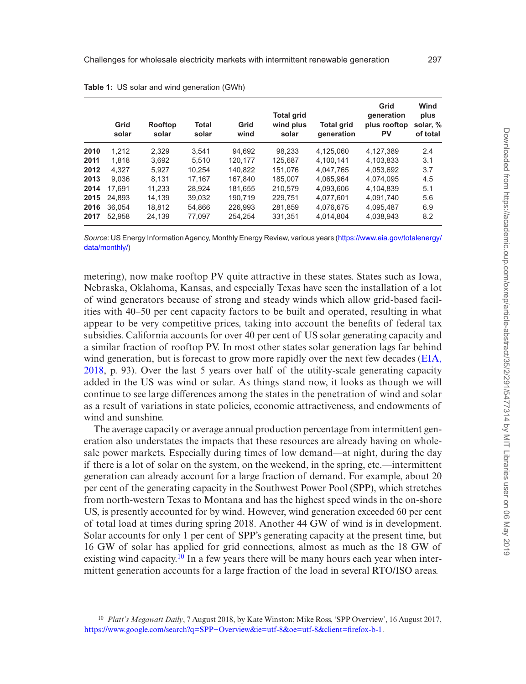|      | Grid<br>solar | Rooftop<br>solar | Total<br>solar | Grid<br>wind | <b>Total grid</b><br>wind plus<br>solar | <b>Total grid</b><br>generation | Grid<br>generation<br>plus rooftop<br>PV | Wind<br>plus<br>solar, %<br>of total |
|------|---------------|------------------|----------------|--------------|-----------------------------------------|---------------------------------|------------------------------------------|--------------------------------------|
| 2010 | 1.212         | 2.329            | 3.541          | 94.692       | 98.233                                  | 4.125.060                       | 4.127.389                                | 2.4                                  |
| 2011 | 1.818         | 3.692            | 5.510          | 120.177      | 125.687                                 | 4.100.141                       | 4.103.833                                | 3.1                                  |
| 2012 | 4.327         | 5.927            | 10.254         | 140.822      | 151.076                                 | 4.047.765                       | 4.053.692                                | 3.7                                  |
| 2013 | 9.036         | 8.131            | 17.167         | 167.840      | 185.007                                 | 4.065.964                       | 4.074.095                                | 4.5                                  |
| 2014 | 17.691        | 11.233           | 28.924         | 181,655      | 210.579                                 | 4.093.606                       | 4.104.839                                | 5.1                                  |
| 2015 | 24.893        | 14.139           | 39.032         | 190.719      | 229.751                                 | 4,077,601                       | 4.091.740                                | 5.6                                  |
| 2016 | 36.054        | 18.812           | 54.866         | 226.993      | 281.859                                 | 4.076.675                       | 4.095.487                                | 6.9                                  |
| 2017 | 52.958        | 24.139           | 77.097         | 254.254      | 331.351                                 | 4.014.804                       | 4,038,943                                | 8.2                                  |

<span id="page-6-0"></span>**Table 1:** US solar and wind generation (GWh)

*Source*: US Energy Information Agency, Monthly Energy Review, various years [\(https://www.eia.gov/totalenergy/](https://www.eia.gov/totalenergy/data/monthly/) [data/monthly/\)](https://www.eia.gov/totalenergy/data/monthly/)

metering), now make rooftop PV quite attractive in these states. States such as Iowa, Nebraska, Oklahoma, Kansas, and especially Texas have seen the installation of a lot of wind generators because of strong and steady winds which allow grid-based facilities with 40–50 per cent capacity factors to be built and operated, resulting in what appear to be very competitive prices, taking into account the benefits of federal tax subsidies. California accounts for over 40 per cent of US solar generating capacity and a similar fraction of rooftop PV. In most other states solar generation lags far behind wind generation, but is forecast to grow more rapidly over the next few decades [\(EIA,](#page-39-4) [2018,](#page-39-4) p. 93). Over the last 5 years over half of the utility-scale generating capacity added in the US was wind or solar. As things stand now, it looks as though we will continue to see large differences among the states in the penetration of wind and solar as a result of variations in state policies, economic attractiveness, and endowments of wind and sunshine.

The average capacity or average annual production percentage from intermittent generation also understates the impacts that these resources are already having on wholesale power markets. Especially during times of low demand—at night, during the day if there is a lot of solar on the system, on the weekend, in the spring, etc.—intermittent generation can already account for a large fraction of demand. For example, about 20 per cent of the generating capacity in the Southwest Power Pool (SPP), which stretches from north-western Texas to Montana and has the highest speed winds in the on-shore US, is presently accounted for by wind. However, wind generation exceeded 60 per cent of total load at times during spring 2018. Another 44 GW of wind is in development. Solar accounts for only 1 per cent of SPP's generating capacity at the present time, but 16 GW of solar has applied for grid connections, almost as much as the 18 GW of existing wind capacity.<sup>10</sup> In a few years there will be many hours each year when intermittent generation accounts for a large fraction of the load in several RTO/ISO areas.

<span id="page-6-1"></span><sup>10</sup> *Platt's Megawatt Daily*, 7 August 2018, by Kate Winston; Mike Ross, 'SPP Overview', 16 August 2017, <https://www.google.com/search?q=SPP+Overview&ie=utf-8&oe=utf-8&client=firefox-b-1>.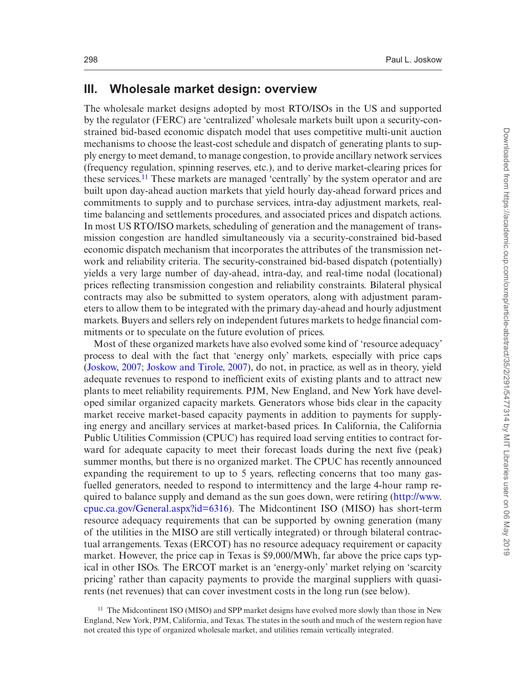#### **III. Wholesale market design: overview**

The wholesale market designs adopted by most RTO/ISOs in the US and supported by the regulator (FERC) are 'centralized' wholesale markets built upon a security-constrained bid-based economic dispatch model that uses competitive multi-unit auction mechanisms to choose the least-cost schedule and dispatch of generating plants to supply energy to meet demand, to manage congestion, to provide ancillary network services (frequency regulation, spinning reserves, etc.), and to derive market-clearing prices for these services.<sup>11</sup> These markets are managed 'centrally' by the system operator and are built upon day-ahead auction markets that yield hourly day-ahead forward prices and commitments to supply and to purchase services, intra-day adjustment markets, realtime balancing and settlements procedures, and associated prices and dispatch actions. In most US RTO/ISO markets, scheduling of generation and the management of transmission congestion are handled simultaneously via a security-constrained bid-based economic dispatch mechanism that incorporates the attributes of the transmission network and reliability criteria. The security-constrained bid-based dispatch (potentially) yields a very large number of day-ahead, intra-day, and real-time nodal (locational) prices reflecting transmission congestion and reliability constraints. Bilateral physical contracts may also be submitted to system operators, along with adjustment parameters to allow them to be integrated with the primary day-ahead and hourly adjustment markets. Buyers and sellers rely on independent futures markets to hedge financial commitments or to speculate on the future evolution of prices.

Most of these organized markets have also evolved some kind of 'resource adequacy' process to deal with the fact that 'energy only' markets, especially with price caps ([Joskow, 2007](#page-39-0); [Joskow and Tirole, 2007](#page-40-3)), do not, in practice, as well as in theory, yield adequate revenues to respond to inefficient exits of existing plants and to attract new plants to meet reliability requirements. PJM, New England, and New York have developed similar organized capacity markets. Generators whose bids clear in the capacity market receive market-based capacity payments in addition to payments for supplying energy and ancillary services at market-based prices. In California, the California Public Utilities Commission (CPUC) has required load serving entities to contract forward for adequate capacity to meet their forecast loads during the next five (peak) summer months, but there is no organized market. The CPUC has recently announced expanding the requirement to up to 5 years, reflecting concerns that too many gasfuelled generators, needed to respond to intermittency and the large 4-hour ramp required to balance supply and demand as the sun goes down, were retiring ([http://www.](http://www.cpuc.ca.gov/General.aspx?id=6316) [cpuc.ca.gov/General.aspx?id=6316\)](http://www.cpuc.ca.gov/General.aspx?id=6316). The Midcontinent ISO (MISO) has short-term resource adequacy requirements that can be supported by owning generation (many of the utilities in the MISO are still vertically integrated) or through bilateral contractual arrangements. Texas (ERCOT) has no resource adequacy requirement or capacity market. However, the price cap in Texas is \$9,000/MWh, far above the price caps typical in other ISOs. The ERCOT market is an 'energy-only' market relying on 'scarcity pricing' rather than capacity payments to provide the marginal suppliers with quasirents (net revenues) that can cover investment costs in the long run (see below).

<span id="page-7-0"></span><sup>&</sup>lt;sup>11</sup> The Midcontinent ISO (MISO) and SPP market designs have evolved more slowly than those in New England, New York, PJM, California, and Texas. The states in the south and much of the western region have not created this type of organized wholesale market, and utilities remain vertically integrated.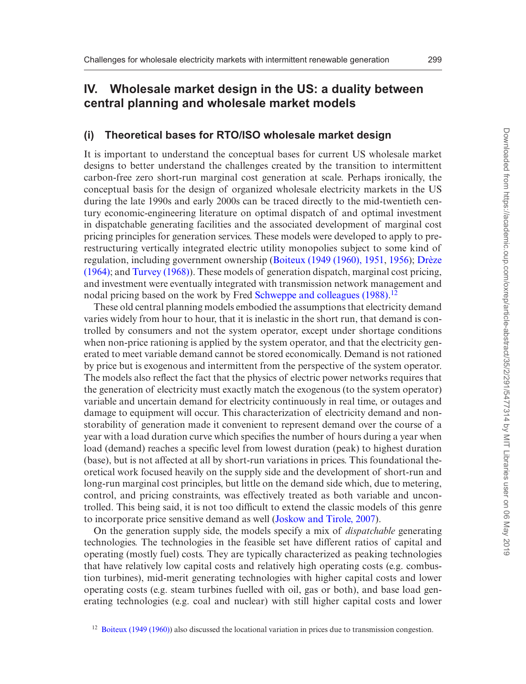# **IV. Wholesale market design in the US: a duality between central planning and wholesale market models**

#### **(i) Theoretical bases for RTO/ISO wholesale market design**

It is important to understand the conceptual bases for current US wholesale market designs to better understand the challenges created by the transition to intermittent carbon-free zero short-run marginal cost generation at scale. Perhaps ironically, the conceptual basis for the design of organized wholesale electricity markets in the US during the late 1990s and early 2000s can be traced directly to the mid-twentieth century economic-engineering literature on optimal dispatch of and optimal investment in dispatchable generating facilities and the associated development of marginal cost pricing principles for generation services. These models were developed to apply to prerestructuring vertically integrated electric utility monopolies subject to some kind of regulation, including government ownership [\(Boiteux \(1949 \(1960\), 1951](#page-39-5), [1956\)](#page-39-6); [Drèze](#page-39-7) [\(1964\)](#page-39-7); and [Turvey \(1968\)](#page-40-4)). These models of generation dispatch, marginal cost pricing, and investment were eventually integrated with transmission network management and nodal pricing based on the work by Fred [Schweppe and colleagues \(1988\).](#page-40-5)<sup>[12](#page-8-0)</sup>

These old central planning models embodied the assumptions that electricity demand varies widely from hour to hour, that it is inelastic in the short run, that demand is controlled by consumers and not the system operator, except under shortage conditions when non-price rationing is applied by the system operator, and that the electricity generated to meet variable demand cannot be stored economically. Demand is not rationed by price but is exogenous and intermittent from the perspective of the system operator. The models also reflect the fact that the physics of electric power networks requires that the generation of electricity must exactly match the exogenous (to the system operator) variable and uncertain demand for electricity continuously in real time, or outages and damage to equipment will occur. This characterization of electricity demand and nonstorability of generation made it convenient to represent demand over the course of a year with a load duration curve which specifies the number of hours during a year when load (demand) reaches a specific level from lowest duration (peak) to highest duration (base), but is not affected at all by short-run variations in prices. This foundational theoretical work focused heavily on the supply side and the development of short-run and long-run marginal cost principles, but little on the demand side which, due to metering, control, and pricing constraints, was effectively treated as both variable and uncontrolled. This being said, it is not too difficult to extend the classic models of this genre to incorporate price sensitive demand as well ([Joskow and Tirole, 2007](#page-40-3)).

On the generation supply side, the models specify a mix of *dispatchable* generating technologies. The technologies in the feasible set have different ratios of capital and operating (mostly fuel) costs. They are typically characterized as peaking technologies that have relatively low capital costs and relatively high operating costs (e.g. combustion turbines), mid-merit generating technologies with higher capital costs and lower operating costs (e.g. steam turbines fuelled with oil, gas or both), and base load generating technologies (e.g. coal and nuclear) with still higher capital costs and lower

<span id="page-8-0"></span><sup>&</sup>lt;sup>12</sup> [Boiteux \(1949 \(1960\)\)](#page-39-8) also discussed the locational variation in prices due to transmission congestion.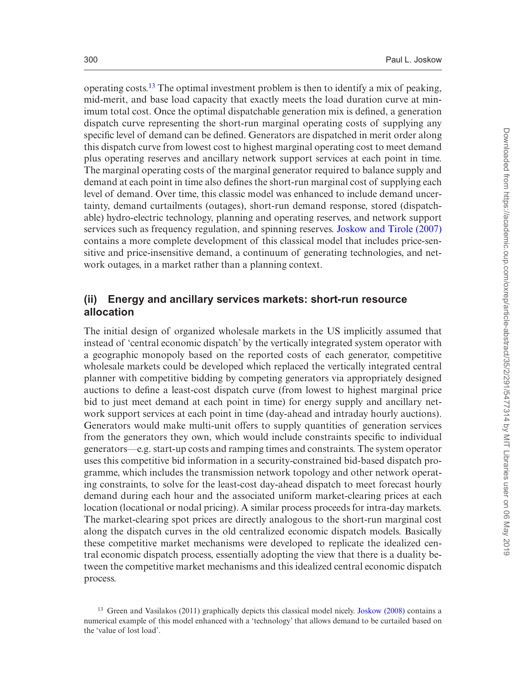operating costs.<sup>13</sup> The optimal investment problem is then to identify a mix of peaking, mid-merit, and base load capacity that exactly meets the load duration curve at minimum total cost. Once the optimal dispatchable generation mix is defined, a generation dispatch curve representing the short-run marginal operating costs of supplying any specific level of demand can be defined. Generators are dispatched in merit order along this dispatch curve from lowest cost to highest marginal operating cost to meet demand plus operating reserves and ancillary network support services at each point in time. The marginal operating costs of the marginal generator required to balance supply and demand at each point in time also defines the short-run marginal cost of supplying each level of demand. Over time, this classic model was enhanced to include demand uncertainty, demand curtailments (outages), short-run demand response, stored (dispatchable) hydro-electric technology, planning and operating reserves, and network support services such as frequency regulation, and spinning reserves. [Joskow and Tirole \(2007\)](#page-40-3) contains a more complete development of this classical model that includes price-sensitive and price-insensitive demand, a continuum of generating technologies, and network outages, in a market rather than a planning context.

#### **(ii) Energy and ancillary services markets: short-run resource allocation**

The initial design of organized wholesale markets in the US implicitly assumed that instead of 'central economic dispatch' by the vertically integrated system operator with a geographic monopoly based on the reported costs of each generator, competitive wholesale markets could be developed which replaced the vertically integrated central planner with competitive bidding by competing generators via appropriately designed auctions to define a least-cost dispatch curve (from lowest to highest marginal price bid to just meet demand at each point in time) for energy supply and ancillary network support services at each point in time (day-ahead and intraday hourly auctions). Generators would make multi-unit offers to supply quantities of generation services from the generators they own, which would include constraints specific to individual generators—e.g. start-up costs and ramping times and constraints. The system operator uses this competitive bid information in a security-constrained bid-based dispatch programme, which includes the transmission network topology and other network operating constraints, to solve for the least-cost day-ahead dispatch to meet forecast hourly demand during each hour and the associated uniform market-clearing prices at each location (locational or nodal pricing). A similar process proceeds for intra-day markets. The market-clearing spot prices are directly analogous to the short-run marginal cost along the dispatch curves in the old centralized economic dispatch models. Basically these competitive market mechanisms were developed to replicate the idealized central economic dispatch process, essentially adopting the view that there is a duality between the competitive market mechanisms and this idealized central economic dispatch process.

<span id="page-9-0"></span><sup>13</sup> Green and Vasilakos (2011) graphically depicts this classical model nicely. [Joskow \(2008\)](#page-39-9) contains a numerical example of this model enhanced with a 'technology' that allows demand to be curtailed based on the 'value of lost load'.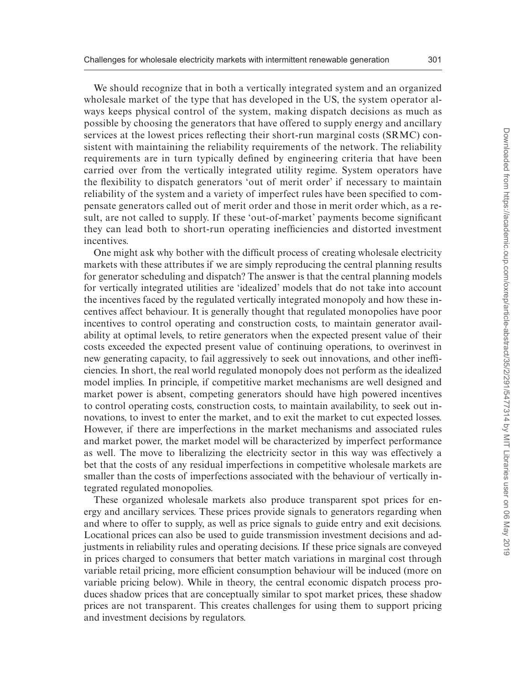We should recognize that in both a vertically integrated system and an organized wholesale market of the type that has developed in the US, the system operator always keeps physical control of the system, making dispatch decisions as much as possible by choosing the generators that have offered to supply energy and ancillary services at the lowest prices reflecting their short-run marginal costs (SRMC) consistent with maintaining the reliability requirements of the network. The reliability requirements are in turn typically defined by engineering criteria that have been carried over from the vertically integrated utility regime. System operators have the flexibility to dispatch generators 'out of merit order' if necessary to maintain reliability of the system and a variety of imperfect rules have been specified to compensate generators called out of merit order and those in merit order which, as a result, are not called to supply. If these 'out-of-market' payments become significant they can lead both to short-run operating inefficiencies and distorted investment incentives.

One might ask why bother with the difficult process of creating wholesale electricity markets with these attributes if we are simply reproducing the central planning results for generator scheduling and dispatch? The answer is that the central planning models for vertically integrated utilities are 'idealized' models that do not take into account the incentives faced by the regulated vertically integrated monopoly and how these incentives affect behaviour. It is generally thought that regulated monopolies have poor incentives to control operating and construction costs, to maintain generator availability at optimal levels, to retire generators when the expected present value of their costs exceeded the expected present value of continuing operations, to overinvest in new generating capacity, to fail aggressively to seek out innovations, and other inefficiencies. In short, the real world regulated monopoly does not perform as the idealized model implies. In principle, if competitive market mechanisms are well designed and market power is absent, competing generators should have high powered incentives to control operating costs, construction costs, to maintain availability, to seek out innovations, to invest to enter the market, and to exit the market to cut expected losses. However, if there are imperfections in the market mechanisms and associated rules and market power, the market model will be characterized by imperfect performance as well. The move to liberalizing the electricity sector in this way was effectively a bet that the costs of any residual imperfections in competitive wholesale markets are smaller than the costs of imperfections associated with the behaviour of vertically integrated regulated monopolies.

These organized wholesale markets also produce transparent spot prices for energy and ancillary services. These prices provide signals to generators regarding when and where to offer to supply, as well as price signals to guide entry and exit decisions. Locational prices can also be used to guide transmission investment decisions and adjustments in reliability rules and operating decisions. If these price signals are conveyed in prices charged to consumers that better match variations in marginal cost through variable retail pricing, more efficient consumption behaviour will be induced (more on variable pricing below). While in theory, the central economic dispatch process produces shadow prices that are conceptually similar to spot market prices, these shadow prices are not transparent. This creates challenges for using them to support pricing and investment decisions by regulators.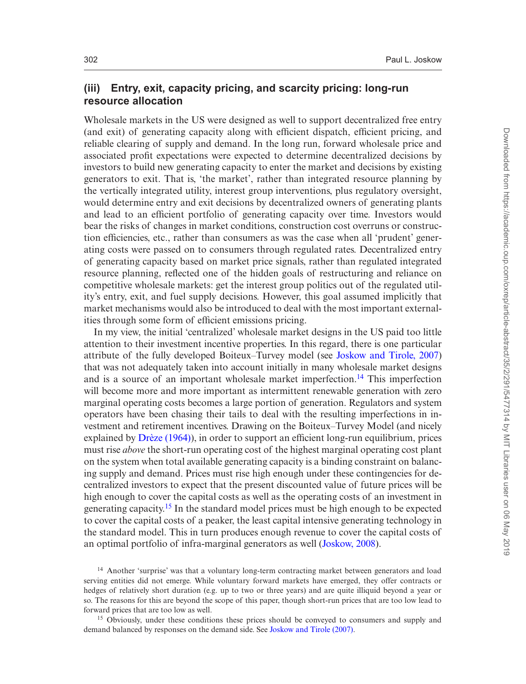## **(iii) Entry, exit, capacity pricing, and scarcity pricing: long-run resource allocation**

Wholesale markets in the US were designed as well to support decentralized free entry (and exit) of generating capacity along with efficient dispatch, efficient pricing, and reliable clearing of supply and demand. In the long run, forward wholesale price and associated profit expectations were expected to determine decentralized decisions by investors to build new generating capacity to enter the market and decisions by existing generators to exit. That is, 'the market', rather than integrated resource planning by the vertically integrated utility, interest group interventions, plus regulatory oversight, would determine entry and exit decisions by decentralized owners of generating plants and lead to an efficient portfolio of generating capacity over time. Investors would bear the risks of changes in market conditions, construction cost overruns or construction efficiencies, etc., rather than consumers as was the case when all 'prudent' generating costs were passed on to consumers through regulated rates. Decentralized entry of generating capacity based on market price signals, rather than regulated integrated resource planning, reflected one of the hidden goals of restructuring and reliance on competitive wholesale markets: get the interest group politics out of the regulated utility's entry, exit, and fuel supply decisions. However, this goal assumed implicitly that market mechanisms would also be introduced to deal with the most important externalities through some form of efficient emissions pricing.

In my view, the initial 'centralized' wholesale market designs in the US paid too little attention to their investment incentive properties. In this regard, there is one particular attribute of the fully developed Boiteux–Turvey model (see [Joskow and Tirole, 2007\)](#page-40-3) that was not adequately taken into account initially in many wholesale market designs and is a source of an important wholesale market imperfection.<sup>14</sup> This imperfection will become more and more important as intermittent renewable generation with zero marginal operating costs becomes a large portion of generation. Regulators and system operators have been chasing their tails to deal with the resulting imperfections in investment and retirement incentives. Drawing on the Boiteux–Turvey Model (and nicely explained by [Drèze \(1964\)](#page-39-7)), in order to support an efficient long-run equilibrium, prices must rise *above* the short-run operating cost of the highest marginal operating cost plant on the system when total available generating capacity is a binding constraint on balancing supply and demand. Prices must rise high enough under these contingencies for decentralized investors to expect that the present discounted value of future prices will be high enough to cover the capital costs as well as the operating costs of an investment in generating capacity[.15](#page-11-1) In the standard model prices must be high enough to be expected to cover the capital costs of a peaker, the least capital intensive generating technology in the standard model. This in turn produces enough revenue to cover the capital costs of an optimal portfolio of infra-marginal generators as well [\(Joskow, 2008\)](#page-39-9).

<span id="page-11-0"></span><sup>14</sup> Another 'surprise' was that a voluntary long-term contracting market between generators and load serving entities did not emerge. While voluntary forward markets have emerged, they offer contracts or hedges of relatively short duration (e.g. up to two or three years) and are quite illiquid beyond a year or so. The reasons for this are beyond the scope of this paper, though short-run prices that are too low lead to forward prices that are too low as well.

<span id="page-11-1"></span><sup>15</sup> Obviously, under these conditions these prices should be conveyed to consumers and supply and demand balanced by responses on the demand side. See [Joskow and Tirole \(2007\).](#page-40-3)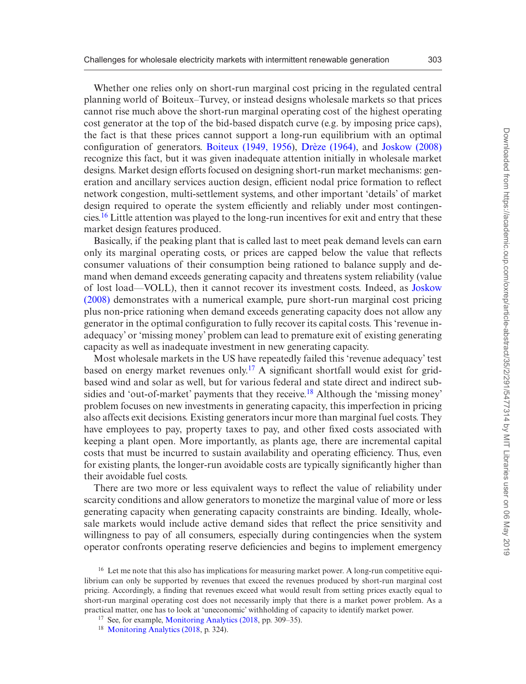Whether one relies only on short-run marginal cost pricing in the regulated central planning world of Boiteux–Turvey, or instead designs wholesale markets so that prices cannot rise much above the short-run marginal operating cost of the highest operating cost generator at the top of the bid-based dispatch curve (e.g. by imposing price caps), the fact is that these prices cannot support a long-run equilibrium with an optimal configuration of generators. [Boiteux \(1949, 1956](#page-39-6)), [Drèze \(1964\),](#page-39-7) and [Joskow \(2008\)](#page-39-9) recognize this fact, but it was given inadequate attention initially in wholesale market designs. Market design efforts focused on designing short-run market mechanisms: generation and ancillary services auction design, efficient nodal price formation to reflect network congestion, multi-settlement systems, and other important 'details' of market design required to operate the system efficiently and reliably under most contingencies.[16](#page-12-0) Little attention was played to the long-run incentives for exit and entry that these market design features produced.

Basically, if the peaking plant that is called last to meet peak demand levels can earn only its marginal operating costs, or prices are capped below the value that reflects consumer valuations of their consumption being rationed to balance supply and demand when demand exceeds generating capacity and threatens system reliability (value of lost load—VOLL), then it cannot recover its investment costs. Indeed, as [Joskow](#page-39-9) [\(2008\)](#page-39-9) demonstrates with a numerical example, pure short-run marginal cost pricing plus non-price rationing when demand exceeds generating capacity does not allow any generator in the optimal configuration to fully recover its capital costs. This 'revenue inadequacy' or 'missing money' problem can lead to premature exit of existing generating capacity as well as inadequate investment in new generating capacity.

Most wholesale markets in the US have repeatedly failed this 'revenue adequacy' test based on energy market revenues only.<sup>17</sup> A significant shortfall would exist for gridbased wind and solar as well, but for various federal and state direct and indirect subsidies and 'out-of-market' payments that they receive[.18](#page-12-2) Although the 'missing money' problem focuses on new investments in generating capacity, this imperfection in pricing also affects exit decisions. Existing generators incur more than marginal fuel costs. They have employees to pay, property taxes to pay, and other fixed costs associated with keeping a plant open. More importantly, as plants age, there are incremental capital costs that must be incurred to sustain availability and operating efficiency. Thus, even for existing plants, the longer-run avoidable costs are typically significantly higher than their avoidable fuel costs.

There are two more or less equivalent ways to reflect the value of reliability under scarcity conditions and allow generators to monetize the marginal value of more or less generating capacity when generating capacity constraints are binding. Ideally, wholesale markets would include active demand sides that reflect the price sensitivity and willingness to pay of all consumers, especially during contingencies when the system operator confronts operating reserve deficiencies and begins to implement emergency

<span id="page-12-0"></span><sup>&</sup>lt;sup>16</sup> Let me note that this also has implications for measuring market power. A long-run competitive equilibrium can only be supported by revenues that exceed the revenues produced by short-run marginal cost pricing. Accordingly, a finding that revenues exceed what would result from setting prices exactly equal to short-run marginal operating cost does not necessarily imply that there is a market power problem. As a practical matter, one has to look at 'uneconomic' withholding of capacity to identify market power.

<span id="page-12-1"></span><sup>17</sup> See, for example, [Monitoring Analytics \(2018,](#page-40-6) pp. 309–35).

<span id="page-12-2"></span><sup>&</sup>lt;sup>18</sup> [Monitoring Analytics \(2018,](#page-40-6) p. 324).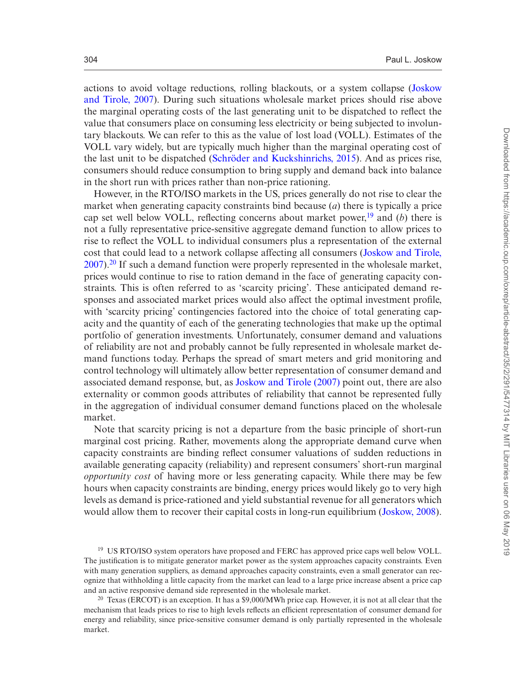actions to avoid voltage reductions, rolling blackouts, or a system collapse ([Joskow](#page-40-3) [and Tirole, 2007\)](#page-40-3). During such situations wholesale market prices should rise above the marginal operating costs of the last generating unit to be dispatched to reflect the value that consumers place on consuming less electricity or being subjected to involuntary blackouts. We can refer to this as the value of lost load (VOLL). Estimates of the VOLL vary widely, but are typically much higher than the marginal operating cost of the last unit to be dispatched [\(Schröder and Kuckshinrichs, 2015\)](#page-40-7). And as prices rise, consumers should reduce consumption to bring supply and demand back into balance in the short run with prices rather than non-price rationing.

However, in the RTO/ISO markets in the US, prices generally do not rise to clear the market when generating capacity constraints bind because (*a*) there is typically a price cap set well below VOLL, reflecting concerns about market power,<sup>19</sup> and (*b*) there is not a fully representative price-sensitive aggregate demand function to allow prices to rise to reflect the VOLL to individual consumers plus a representation of the external cost that could lead to a network collapse affecting all consumers [\(Joskow and Tirole,](#page-40-3) [2007\)](#page-40-3).[20](#page-13-1) If such a demand function were properly represented in the wholesale market, prices would continue to rise to ration demand in the face of generating capacity constraints. This is often referred to as 'scarcity pricing'. These anticipated demand responses and associated market prices would also affect the optimal investment profile, with 'scarcity pricing' contingencies factored into the choice of total generating capacity and the quantity of each of the generating technologies that make up the optimal portfolio of generation investments. Unfortunately, consumer demand and valuations of reliability are not and probably cannot be fully represented in wholesale market demand functions today. Perhaps the spread of smart meters and grid monitoring and control technology will ultimately allow better representation of consumer demand and associated demand response, but, as [Joskow and Tirole \(2007\)](#page-40-3) point out, there are also externality or common goods attributes of reliability that cannot be represented fully in the aggregation of individual consumer demand functions placed on the wholesale market.

Note that scarcity pricing is not a departure from the basic principle of short-run marginal cost pricing. Rather, movements along the appropriate demand curve when capacity constraints are binding reflect consumer valuations of sudden reductions in available generating capacity (reliability) and represent consumers' short-run marginal *opportunity cost* of having more or less generating capacity. While there may be few hours when capacity constraints are binding, energy prices would likely go to very high levels as demand is price-rationed and yield substantial revenue for all generators which would allow them to recover their capital costs in long-run equilibrium [\(Joskow, 2008](#page-39-9)).

<span id="page-13-0"></span><sup>&</sup>lt;sup>19</sup> US RTO/ISO system operators have proposed and FERC has approved price caps well below VOLL. The justification is to mitigate generator market power as the system approaches capacity constraints. Even with many generation suppliers, as demand approaches capacity constraints, even a small generator can recognize that withholding a little capacity from the market can lead to a large price increase absent a price cap and an active responsive demand side represented in the wholesale market.

<span id="page-13-1"></span><sup>&</sup>lt;sup>20</sup> Texas (ERCOT) is an exception. It has a \$9,000/MWh price cap. However, it is not at all clear that the mechanism that leads prices to rise to high levels reflects an efficient representation of consumer demand for energy and reliability, since price-sensitive consumer demand is only partially represented in the wholesale market.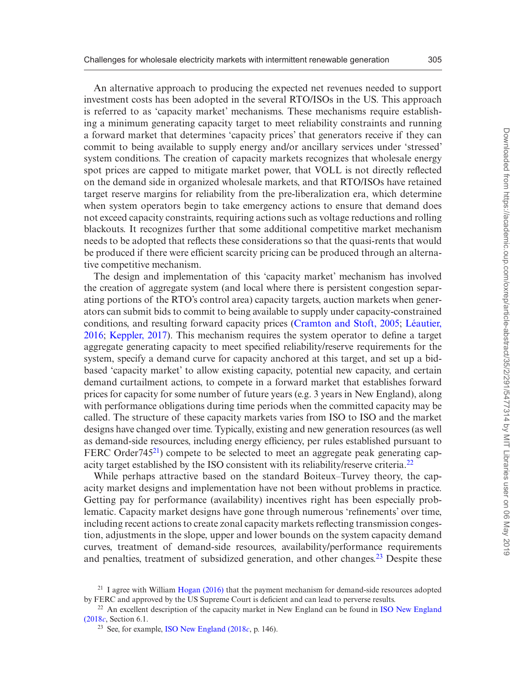An alternative approach to producing the expected net revenues needed to support investment costs has been adopted in the several RTO/ISOs in the US. This approach is referred to as 'capacity market' mechanisms. These mechanisms require establishing a minimum generating capacity target to meet reliability constraints and running a forward market that determines 'capacity prices' that generators receive if they can commit to being available to supply energy and/or ancillary services under 'stressed' system conditions. The creation of capacity markets recognizes that wholesale energy spot prices are capped to mitigate market power, that VOLL is not directly reflected on the demand side in organized wholesale markets, and that RTO/ISOs have retained target reserve margins for reliability from the pre-liberalization era, which determine when system operators begin to take emergency actions to ensure that demand does not exceed capacity constraints, requiring actions such as voltage reductions and rolling blackouts. It recognizes further that some additional competitive market mechanism needs to be adopted that reflects these considerations so that the quasi-rents that would be produced if there were efficient scarcity pricing can be produced through an alternative competitive mechanism.

The design and implementation of this 'capacity market' mechanism has involved the creation of aggregate system (and local where there is persistent congestion separating portions of the RTO's control area) capacity targets, auction markets when generators can submit bids to commit to being available to supply under capacity-constrained conditions, and resulting forward capacity prices ([Cramton and Stoft, 2005](#page-39-10); [Léautier,](#page-40-8) [2016](#page-40-8); [Keppler, 2017](#page-40-9)). This mechanism requires the system operator to define a target aggregate generating capacity to meet specified reliability/reserve requirements for the system, specify a demand curve for capacity anchored at this target, and set up a bidbased 'capacity market' to allow existing capacity, potential new capacity, and certain demand curtailment actions, to compete in a forward market that establishes forward prices for capacity for some number of future years (e.g. 3 years in New England), along with performance obligations during time periods when the committed capacity may be called. The structure of these capacity markets varies from ISO to ISO and the market designs have changed over time. Typically, existing and new generation resources (as well as demand-side resources, including energy efficiency, per rules established pursuant to FERC Order<sup>745<sup>21</sup>) compete to be selected to meet an aggregate peak generating cap-</sup> acity target established by the ISO consistent with its reliability/reserve criteria.<sup>22</sup>

While perhaps attractive based on the standard Boiteux–Turvey theory, the capacity market designs and implementation have not been without problems in practice. Getting pay for performance (availability) incentives right has been especially problematic. Capacity market designs have gone through numerous 'refinements' over time, including recent actions to create zonal capacity markets reflecting transmission congestion, adjustments in the slope, upper and lower bounds on the system capacity demand curves, treatment of demand-side resources, availability/performance requirements and penalties, treatment of subsidized generation, and other changes[.23](#page-14-2) Despite these

<span id="page-14-0"></span> $^{21}$  I agree with William [Hogan \(2016\)](#page-39-11) that the payment mechanism for demand-side resources adopted by FERC and approved by the US Supreme Court is deficient and can lead to perverse results.

<sup>&</sup>lt;sup>22</sup> An excellent description of the capacity market in New England can be found in [ISO New England](#page-39-12) [\(2018](#page-39-12)*c*, Section 6.1.

<span id="page-14-2"></span><span id="page-14-1"></span><sup>23</sup> See, for example, [ISO New England \(2018](#page-39-12)*c*, p. 146).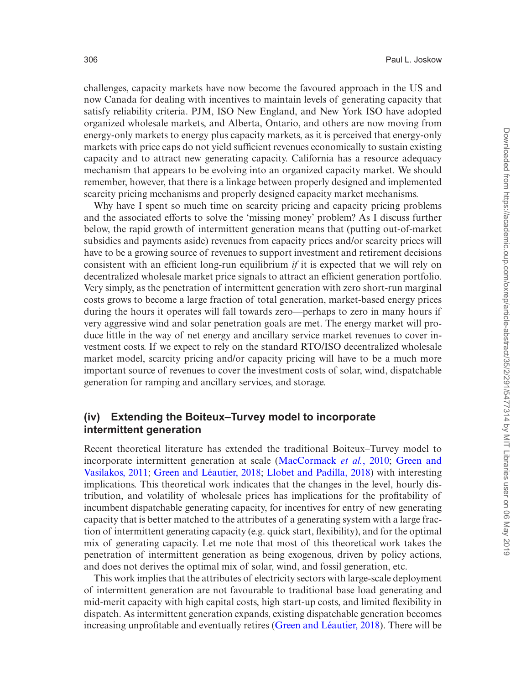challenges, capacity markets have now become the favoured approach in the US and now Canada for dealing with incentives to maintain levels of generating capacity that satisfy reliability criteria. PJM, ISO New England, and New York ISO have adopted organized wholesale markets, and Alberta, Ontario, and others are now moving from energy-only markets to energy plus capacity markets, as it is perceived that energy-only markets with price caps do not yield sufficient revenues economically to sustain existing capacity and to attract new generating capacity. California has a resource adequacy mechanism that appears to be evolving into an organized capacity market. We should remember, however, that there is a linkage between properly designed and implemented scarcity pricing mechanisms and properly designed capacity market mechanisms.

Why have I spent so much time on scarcity pricing and capacity pricing problems and the associated efforts to solve the 'missing money' problem? As I discuss further below, the rapid growth of intermittent generation means that (putting out-of-market subsidies and payments aside) revenues from capacity prices and/or scarcity prices will have to be a growing source of revenues to support investment and retirement decisions consistent with an efficient long-run equilibrium *if* it is expected that we will rely on decentralized wholesale market price signals to attract an efficient generation portfolio. Very simply, as the penetration of intermittent generation with zero short-run marginal costs grows to become a large fraction of total generation, market-based energy prices during the hours it operates will fall towards zero—perhaps to zero in many hours if very aggressive wind and solar penetration goals are met. The energy market will produce little in the way of net energy and ancillary service market revenues to cover investment costs. If we expect to rely on the standard RTO/ISO decentralized wholesale market model, scarcity pricing and/or capacity pricing will have to be a much more important source of revenues to cover the investment costs of solar, wind, dispatchable generation for ramping and ancillary services, and storage.

#### **(iv) Extending the Boiteux–Turvey model to incorporate intermittent generation**

Recent theoretical literature has extended the traditional Boiteux–Turvey model to incorporate intermittent generation at scale ([MacCormack](#page-40-10) *et al.*, 2010; [Green and](#page-39-13) [Vasilakos, 2011;](#page-39-13) [Green and Léautier, 2018;](#page-39-14) [Llobet and Padilla, 2018](#page-40-11)) with interesting implications. This theoretical work indicates that the changes in the level, hourly distribution, and volatility of wholesale prices has implications for the profitability of incumbent dispatchable generating capacity, for incentives for entry of new generating capacity that is better matched to the attributes of a generating system with a large fraction of intermittent generating capacity (e.g. quick start, flexibility), and for the optimal mix of generating capacity. Let me note that most of this theoretical work takes the penetration of intermittent generation as being exogenous, driven by policy actions, and does not derives the optimal mix of solar, wind, and fossil generation, etc.

This work implies that the attributes of electricity sectors with large-scale deployment of intermittent generation are not favourable to traditional base load generating and mid-merit capacity with high capital costs, high start-up costs, and limited flexibility in dispatch. As intermittent generation expands, existing dispatchable generation becomes increasing unprofitable and eventually retires [\(Green and Léautier, 2018](#page-39-14)). There will be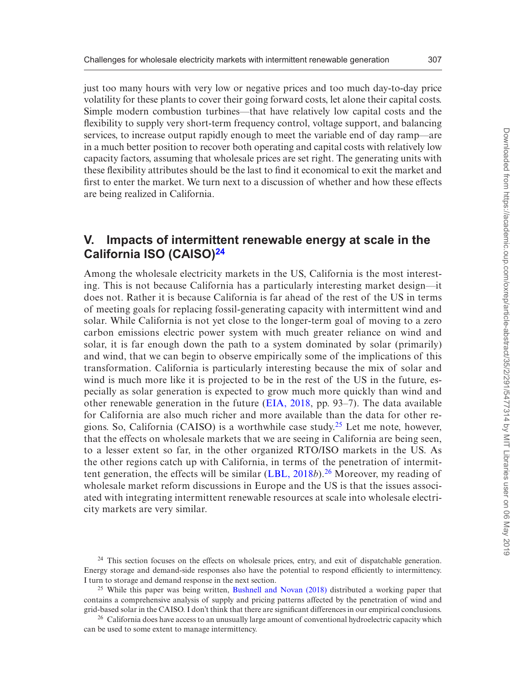just too many hours with very low or negative prices and too much day-to-day price volatility for these plants to cover their going forward costs, let alone their capital costs. Simple modern combustion turbines—that have relatively low capital costs and the flexibility to supply very short-term frequency control, voltage support, and balancing services, to increase output rapidly enough to meet the variable end of day ramp—are in a much better position to recover both operating and capital costs with relatively low capacity factors, assuming that wholesale prices are set right. The generating units with these flexibility attributes should be the last to find it economical to exit the market and first to enter the market. We turn next to a discussion of whether and how these effects are being realized in California.

# **V. Impacts of intermittent renewable energy at scale in the California ISO (CAISO)[24](#page-16-0)**

Among the wholesale electricity markets in the US, California is the most interesting. This is not because California has a particularly interesting market design—it does not. Rather it is because California is far ahead of the rest of the US in terms of meeting goals for replacing fossil-generating capacity with intermittent wind and solar. While California is not yet close to the longer-term goal of moving to a zero carbon emissions electric power system with much greater reliance on wind and solar, it is far enough down the path to a system dominated by solar (primarily) and wind, that we can begin to observe empirically some of the implications of this transformation. California is particularly interesting because the mix of solar and wind is much more like it is projected to be in the rest of the US in the future, especially as solar generation is expected to grow much more quickly than wind and other renewable generation in the future ([EIA, 2018](#page-39-4), pp. 93–7). The data available for California are also much richer and more available than the data for other regions. So, California (CAISO) is a worthwhile case study.<sup>25</sup> Let me note, however, that the effects on wholesale markets that we are seeing in California are being seen, to a lesser extent so far, in the other organized RTO/ISO markets in the US. As the other regions catch up with California, in terms of the penetration of intermittent generation, the effects will be similar ([LBL, 2018](#page-40-0)*b*).[26](#page-16-2) Moreover, my reading of wholesale market reform discussions in Europe and the US is that the issues associated with integrating intermittent renewable resources at scale into wholesale electricity markets are very similar.

<span id="page-16-0"></span><sup>24</sup> This section focuses on the effects on wholesale prices, entry, and exit of dispatchable generation. Energy storage and demand-side responses also have the potential to respond efficiently to intermittency. I turn to storage and demand response in the next section.

<span id="page-16-1"></span><sup>&</sup>lt;sup>25</sup> While this paper was being written, [Bushnell and Novan \(2018\)](#page-39-15) distributed a working paper that contains a comprehensive analysis of supply and pricing patterns affected by the penetration of wind and grid-based solar in the CAISO. I don't think that there are significant differences in our empirical conclusions.

<span id="page-16-2"></span><sup>&</sup>lt;sup>26</sup> California does have access to an unusually large amount of conventional hydroelectric capacity which can be used to some extent to manage intermittency.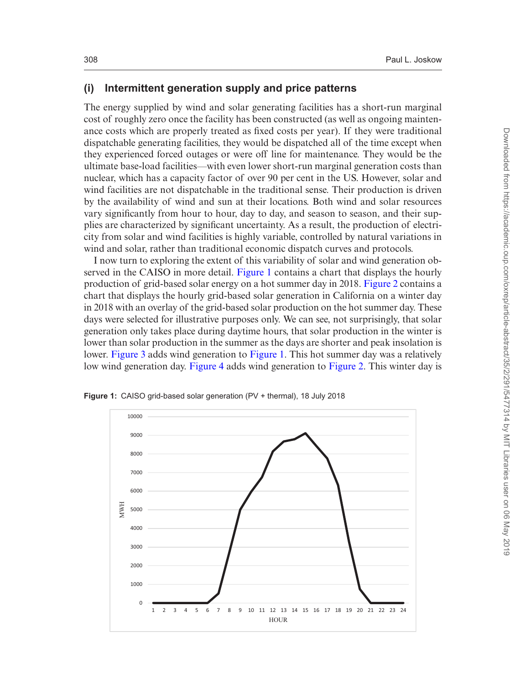#### **(i) Intermittent generation supply and price patterns**

The energy supplied by wind and solar generating facilities has a short-run marginal cost of roughly zero once the facility has been constructed (as well as ongoing maintenance costs which are properly treated as fixed costs per year). If they were traditional dispatchable generating facilities, they would be dispatched all of the time except when they experienced forced outages or were off line for maintenance. They would be the ultimate base-load facilities—with even lower short-run marginal generation costs than nuclear, which has a capacity factor of over 90 per cent in the US. However, solar and wind facilities are not dispatchable in the traditional sense. Their production is driven by the availability of wind and sun at their locations. Both wind and solar resources vary significantly from hour to hour, day to day, and season to season, and their supplies are characterized by significant uncertainty. As a result, the production of electricity from solar and wind facilities is highly variable, controlled by natural variations in wind and solar, rather than traditional economic dispatch curves and protocols.

I now turn to exploring the extent of this variability of solar and wind generation observed in the CAISO in more detail. [Figure 1](#page-17-0) contains a chart that displays the hourly production of grid-based solar energy on a hot summer day in 2018. [Figure 2](#page-18-0) contains a chart that displays the hourly grid-based solar generation in California on a winter day in 2018 with an overlay of the grid-based solar production on the hot summer day. These days were selected for illustrative purposes only. We can see, not surprisingly, that solar generation only takes place during daytime hours, that solar production in the winter is lower than solar production in the summer as the days are shorter and peak insolation is lower. [Figure 3](#page-18-1) adds wind generation to [Figure 1.](#page-17-0) This hot summer day was a relatively low wind generation day. [Figure 4](#page-19-0) adds wind generation to [Figure 2](#page-18-0). This winter day is



<span id="page-17-0"></span>**Figure 1:** CAISO grid-based solar generation (PV + thermal), 18 July 2018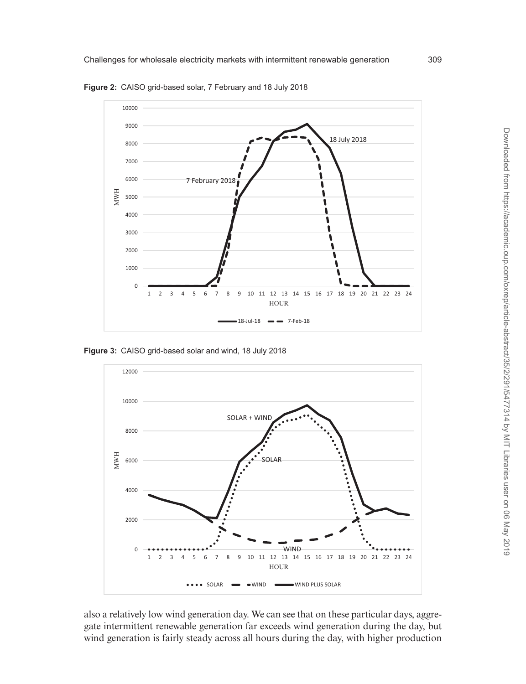

<span id="page-18-0"></span>**Figure 2:** CAISO grid-based solar, 7 February and 18 July 2018

<span id="page-18-1"></span>**Figure 3:** CAISO grid-based solar and wind, 18 July 2018



also a relatively low wind generation day. We can see that on these particular days, aggregate intermittent renewable generation far exceeds wind generation during the day, but wind generation is fairly steady across all hours during the day, with higher production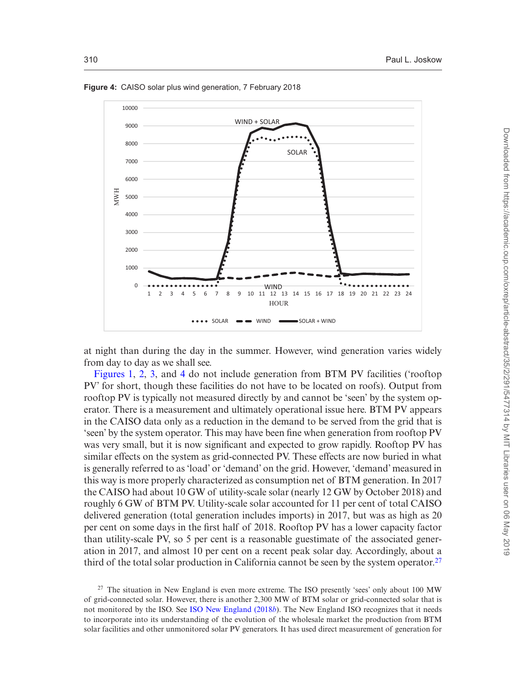

<span id="page-19-0"></span>**Figure 4:** CAISO solar plus wind generation, 7 February 2018

at night than during the day in the summer. However, wind generation varies widely from day to day as we shall see.

[Figures 1,](#page-17-0) [2,](#page-18-0) [3](#page-18-1), and [4](#page-19-0) do not include generation from BTM PV facilities ('rooftop PV' for short, though these facilities do not have to be located on roofs). Output from rooftop PV is typically not measured directly by and cannot be 'seen' by the system operator. There is a measurement and ultimately operational issue here. BTM PV appears in the CAISO data only as a reduction in the demand to be served from the grid that is 'seen' by the system operator. This may have been fine when generation from rooftop PV was very small, but it is now significant and expected to grow rapidly. Rooftop PV has similar effects on the system as grid-connected PV. These effects are now buried in what is generally referred to as 'load' or 'demand' on the grid. However, 'demand' measured in this way is more properly characterized as consumption net of BTM generation. In 2017 the CAISO had about 10 GW of utility-scale solar (nearly 12 GW by October 2018) and roughly 6 GW of BTM PV. Utility-scale solar accounted for 11 per cent of total CAISO delivered generation (total generation includes imports) in 2017, but was as high as 20 per cent on some days in the first half of 2018. Rooftop PV has a lower capacity factor than utility-scale PV, so 5 per cent is a reasonable guestimate of the associated generation in 2017, and almost 10 per cent on a recent peak solar day. Accordingly, about a third of the total solar production in California cannot be seen by the system operator.<sup>27</sup>

<span id="page-19-1"></span><sup>27</sup> The situation in New England is even more extreme. The ISO presently 'sees' only about 100 MW of grid-connected solar. However, there is another 2,300 MW of BTM solar or grid-connected solar that is not monitored by the ISO. See [ISO New England \(2018](#page-39-16)*b*). The New England ISO recognizes that it needs to incorporate into its understanding of the evolution of the wholesale market the production from BTM solar facilities and other unmonitored solar PV generators. It has used direct measurement of generation for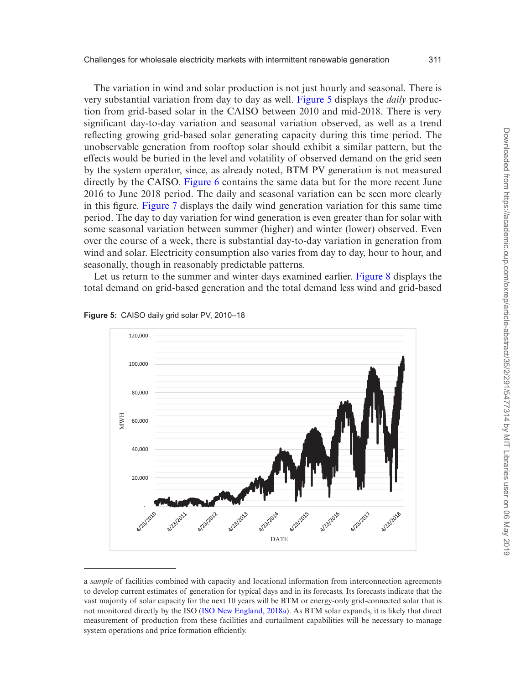The variation in wind and solar production is not just hourly and seasonal. There is very substantial variation from day to day as well. [Figure 5](#page-20-0) displays the *daily* production from grid-based solar in the CAISO between 2010 and mid-2018. There is very significant day-to-day variation and seasonal variation observed, as well as a trend reflecting growing grid-based solar generating capacity during this time period. The unobservable generation from rooftop solar should exhibit a similar pattern, but the effects would be buried in the level and volatility of observed demand on the grid seen by the system operator, since, as already noted, BTM PV generation is not measured directly by the CAISO. [Figure 6](#page-21-0) contains the same data but for the more recent June 2016 to June 2018 period. The daily and seasonal variation can be seen more clearly in this figure. [Figure 7](#page-21-1) displays the daily wind generation variation for this same time period. The day to day variation for wind generation is even greater than for solar with some seasonal variation between summer (higher) and winter (lower) observed. Even over the course of a week, there is substantial day-to-day variation in generation from wind and solar. Electricity consumption also varies from day to day, hour to hour, and seasonally, though in reasonably predictable patterns.

Let us return to the summer and winter days examined earlier. [Figure 8](#page-22-0) displays the total demand on grid-based generation and the total demand less wind and grid-based



<span id="page-20-0"></span>**Figure 5:** CAISO daily grid solar PV, 2010–18

a *sample* of facilities combined with capacity and locational information from interconnection agreements to develop current estimates of generation for typical days and in its forecasts. Its forecasts indicate that the vast majority of solar capacity for the next 10 years will be BTM or energy-only grid-connected solar that is not monitored directly by the ISO [\(ISO New England, 2018](#page-39-17)*a*). As BTM solar expands, it is likely that direct measurement of production from these facilities and curtailment capabilities will be necessary to manage system operations and price formation efficiently.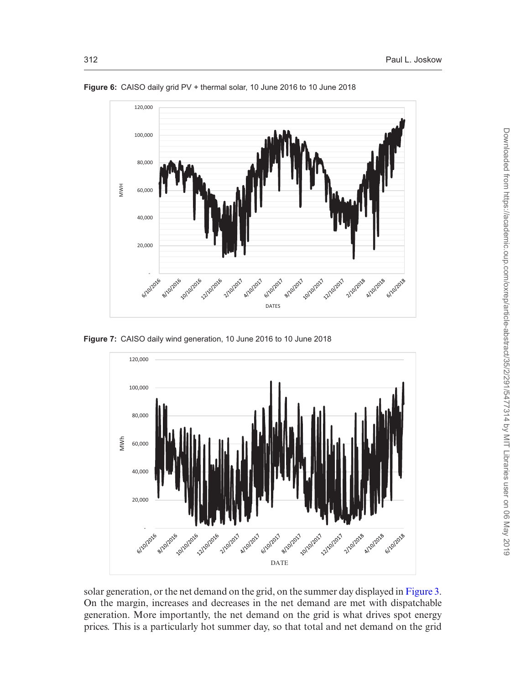

<span id="page-21-0"></span>**Figure 6:** CAISO daily grid PV + thermal solar, 10 June 2016 to 10 June 2018

<span id="page-21-1"></span>**Figure 7:** CAISO daily wind generation, 10 June 2016 to 10 June 2018



solar generation, or the net demand on the grid, on the summer day displayed in [Figure 3](#page-23-0). On the margin, increases and decreases in the net demand are met with dispatchable generation. More importantly, the net demand on the grid is what drives spot energy prices. This is a particularly hot summer day, so that total and net demand on the grid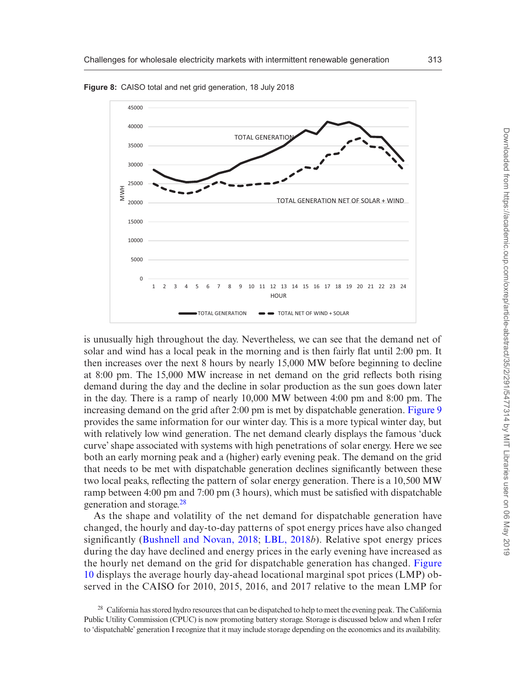

<span id="page-22-0"></span>**Figure 8:** CAISO total and net grid generation, 18 July 2018

is unusually high throughout the day. Nevertheless, we can see that the demand net of solar and wind has a local peak in the morning and is then fairly flat until 2:00 pm. It then increases over the next 8 hours by nearly 15,000 MW before beginning to decline at 8:00 pm. The 15,000 MW increase in net demand on the grid reflects both rising demand during the day and the decline in solar production as the sun goes down later in the day. There is a ramp of nearly 10,000 MW between 4:00 pm and 8:00 pm. The increasing demand on the grid after 2:00 pm is met by dispatchable generation. [Figure 9](#page-23-0) provides the same information for our winter day. This is a more typical winter day, but with relatively low wind generation. The net demand clearly displays the famous 'duck curve' shape associated with systems with high penetrations of solar energy. Here we see both an early morning peak and a (higher) early evening peak. The demand on the grid that needs to be met with dispatchable generation declines significantly between these two local peaks, reflecting the pattern of solar energy generation. There is a 10,500 MW ramp between 4:00 pm and 7:00 pm (3 hours), which must be satisfied with dispatchable generation and storage[.28](#page-22-1)

As the shape and volatility of the net demand for dispatchable generation have changed, the hourly and day-to-day patterns of spot energy prices have also changed significantly [\(Bushnell and Novan, 2018](#page-39-15); [LBL, 2018](#page-40-0)*b*). Relative spot energy prices during the day have declined and energy prices in the early evening have increased as the hourly net demand on the grid for dispatchable generation has changed. [Figure](#page-23-1) [10](#page-23-1) displays the average hourly day-ahead locational marginal spot prices (LMP) observed in the CAISO for 2010, 2015, 2016, and 2017 relative to the mean LMP for

<span id="page-22-1"></span><sup>&</sup>lt;sup>28</sup> California has stored hydro resources that can be dispatched to help to meet the evening peak. The California Public Utility Commission (CPUC) is now promoting battery storage. Storage is discussed below and when I refer to 'dispatchable' generation I recognize that it may include storage depending on the economics and its availability.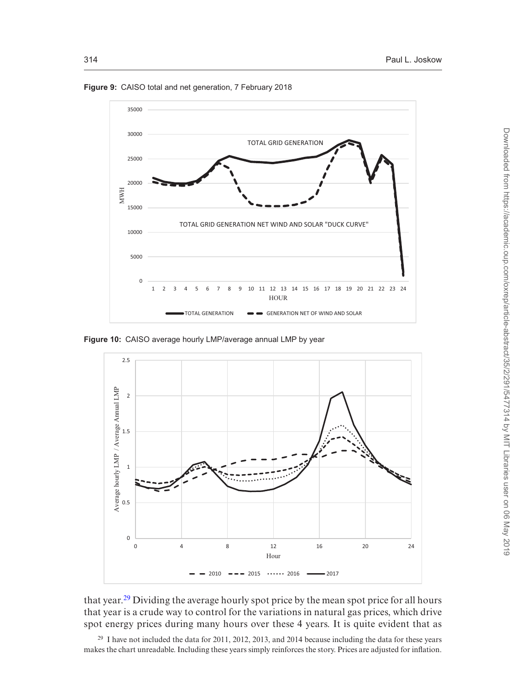

<span id="page-23-0"></span>**Figure 9:** CAISO total and net generation, 7 February 2018

<span id="page-23-1"></span>**Figure 10:** CAISO average hourly LMP/average annual LMP by year



that year.<sup>[29](#page-23-2)</sup> Dividing the average hourly spot price by the mean spot price for all hours that year is a crude way to control for the variations in natural gas prices, which drive spot energy prices during many hours over these 4 years. It is quite evident that as

<span id="page-23-2"></span><sup>29</sup> I have not included the data for 2011, 2012, 2013, and 2014 because including the data for these years makes the chart unreadable. Including these years simply reinforces the story. Prices are adjusted for inflation.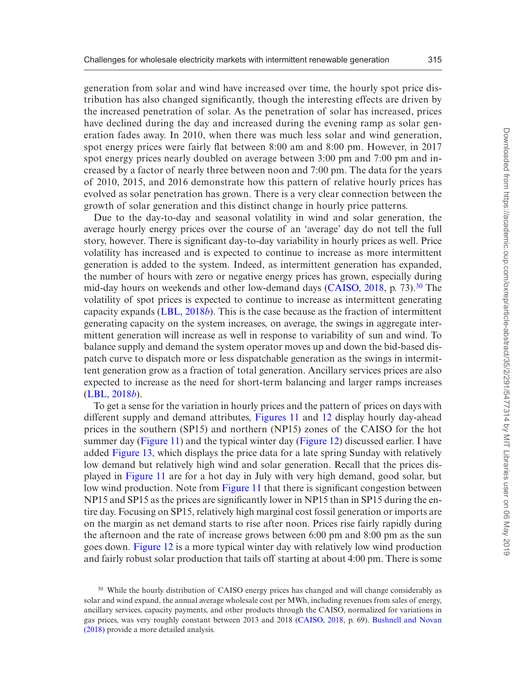generation from solar and wind have increased over time, the hourly spot price distribution has also changed significantly, though the interesting effects are driven by the increased penetration of solar. As the penetration of solar has increased, prices have declined during the day and increased during the evening ramp as solar generation fades away. In 2010, when there was much less solar and wind generation, spot energy prices were fairly flat between 8:00 am and 8:00 pm. However, in 2017 spot energy prices nearly doubled on average between 3:00 pm and 7:00 pm and increased by a factor of nearly three between noon and 7:00 pm. The data for the years of 2010, 2015, and 2016 demonstrate how this pattern of relative hourly prices has evolved as solar penetration has grown. There is a very clear connection between the growth of solar generation and this distinct change in hourly price patterns.

Due to the day-to-day and seasonal volatility in wind and solar generation, the average hourly energy prices over the course of an 'average' day do not tell the full story, however. There is significant day-to-day variability in hourly prices as well. Price volatility has increased and is expected to continue to increase as more intermittent generation is added to the system. Indeed, as intermittent generation has expanded, the number of hours with zero or negative energy prices has grown, especially during mid-day hours on weekends and other low-demand days ([CAISO, 2018](#page-39-18), p. 73).[30](#page-24-0) The volatility of spot prices is expected to continue to increase as intermittent generating capacity expands ([LBL, 2018](#page-40-0)*b*). This is the case because as the fraction of intermittent generating capacity on the system increases, on average, the swings in aggregate intermittent generation will increase as well in response to variability of sun and wind. To balance supply and demand the system operator moves up and down the bid-based dispatch curve to dispatch more or less dispatchable generation as the swings in intermittent generation grow as a fraction of total generation. Ancillary services prices are also expected to increase as the need for short-term balancing and larger ramps increases ([LBL, 2018](#page-40-0)*b*).

To get a sense for the variation in hourly prices and the pattern of prices on days with different supply and demand attributes, [Figures 11](#page-25-0) and [12](#page-25-1) display hourly day-ahead prices in the southern (SP15) and northern (NP15) zones of the CAISO for the hot summer day ([Figure 11](#page-25-0)) and the typical winter day [\(Figure 12\)](#page-25-1) discussed earlier. I have added [Figure 13,](#page-26-0) which displays the price data for a late spring Sunday with relatively low demand but relatively high wind and solar generation. Recall that the prices displayed in [Figure 11](#page-25-0) are for a hot day in July with very high demand, good solar, but low wind production. Note from [Figure 11](#page-25-0) that there is significant congestion between NP15 and SP15 as the prices are significantly lower in NP15 than in SP15 during the entire day. Focusing on SP15, relatively high marginal cost fossil generation or imports are on the margin as net demand starts to rise after noon. Prices rise fairly rapidly during the afternoon and the rate of increase grows between 6:00 pm and 8:00 pm as the sun goes down. [Figure 12](#page-25-1) is a more typical winter day with relatively low wind production and fairly robust solar production that tails off starting at about 4:00 pm. There is some

<span id="page-24-0"></span><sup>&</sup>lt;sup>30</sup> While the hourly distribution of CAISO energy prices has changed and will change considerably as solar and wind expand, the annual average wholesale cost per MWh, including revenues from sales of energy, ancillary services, capacity payments, and other products through the CAISO, normalized for variations in gas prices, was very roughly constant between 2013 and 2018 ([CAISO, 2018,](#page-39-18) p. 69). [Bushnell and Novan](#page-39-15) [\(2018\)](#page-39-15) provide a more detailed analysis.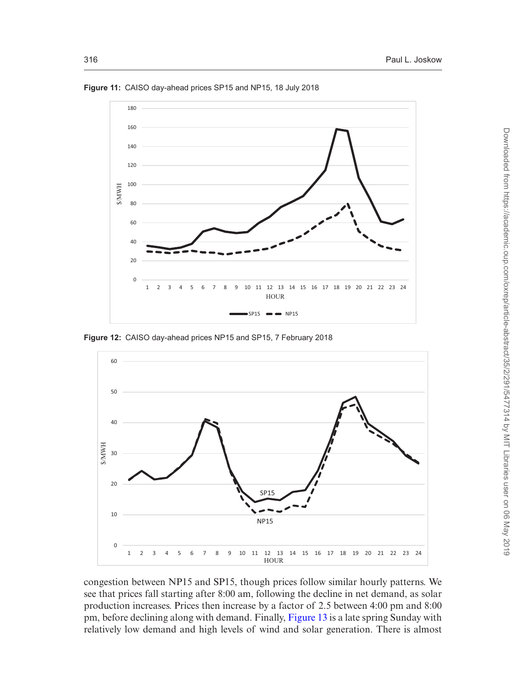

<span id="page-25-0"></span>**Figure 11:** CAISO day-ahead prices SP15 and NP15, 18 July 2018

<span id="page-25-1"></span>**Figure 12:** CAISO day-ahead prices NP15 and SP15, 7 February 2018



congestion between NP15 and SP15, though prices follow similar hourly patterns. We see that prices fall starting after 8:00 am, following the decline in net demand, as solar production increases. Prices then increase by a factor of 2.5 between 4:00 pm and 8:00 pm, before declining along with demand. Finally, [Figure 13](#page-26-0) is a late spring Sunday with relatively low demand and high levels of wind and solar generation. There is almost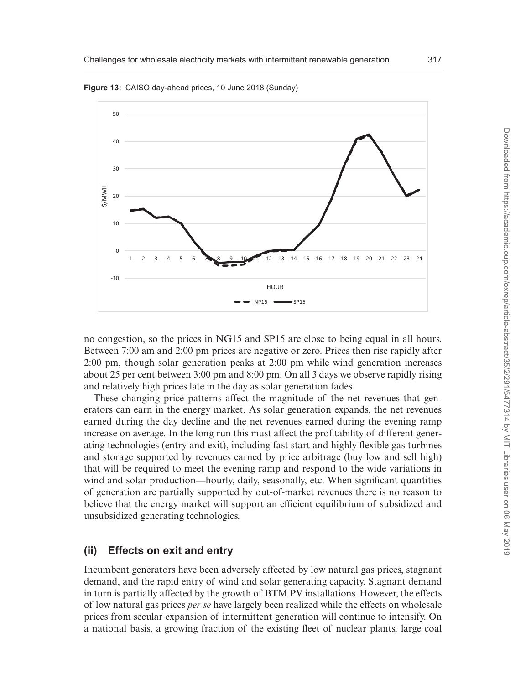

<span id="page-26-0"></span>**Figure 13:** CAISO day-ahead prices, 10 June 2018 (Sunday)

no congestion, so the prices in NG15 and SP15 are close to being equal in all hours. Between 7:00 am and 2:00 pm prices are negative or zero. Prices then rise rapidly after 2:00 pm, though solar generation peaks at 2:00 pm while wind generation increases about 25 per cent between 3:00 pm and 8:00 pm. On all 3 days we observe rapidly rising and relatively high prices late in the day as solar generation fades.

These changing price patterns affect the magnitude of the net revenues that generators can earn in the energy market. As solar generation expands, the net revenues earned during the day decline and the net revenues earned during the evening ramp increase on average. In the long run this must affect the profitability of different generating technologies (entry and exit), including fast start and highly flexible gas turbines and storage supported by revenues earned by price arbitrage (buy low and sell high) that will be required to meet the evening ramp and respond to the wide variations in wind and solar production—hourly, daily, seasonally, etc. When significant quantities of generation are partially supported by out-of-market revenues there is no reason to believe that the energy market will support an efficient equilibrium of subsidized and unsubsidized generating technologies.

#### **(ii) Effects on exit and entry**

Incumbent generators have been adversely affected by low natural gas prices, stagnant demand, and the rapid entry of wind and solar generating capacity. Stagnant demand in turn is partially affected by the growth of BTM PV installations. However, the effects of low natural gas prices *per se* have largely been realized while the effects on wholesale prices from secular expansion of intermittent generation will continue to intensify. On a national basis, a growing fraction of the existing fleet of nuclear plants, large coal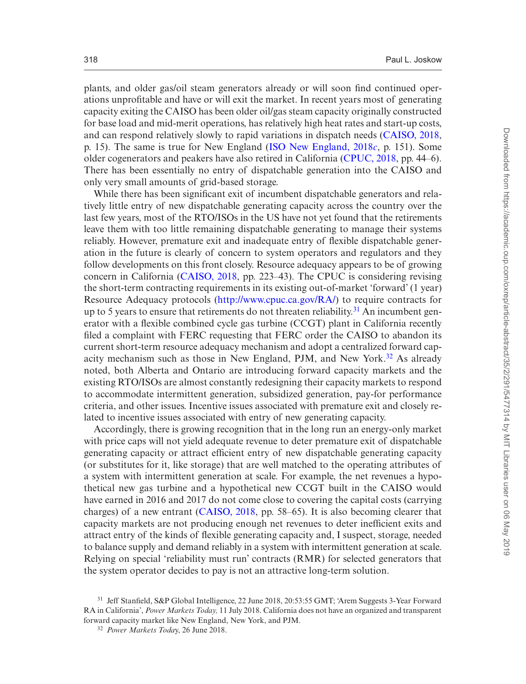plants, and older gas/oil steam generators already or will soon find continued operations unprofitable and have or will exit the market. In recent years most of generating capacity exiting the CAISO has been older oil/gas steam capacity originally constructed for base load and mid-merit operations, has relatively high heat rates and start-up costs, and can respond relatively slowly to rapid variations in dispatch needs [\(CAISO, 2018](#page-39-18), p. 15). The same is true for New England [\(ISO New England, 2018](#page-39-12)*c*, p. 151). Some older cogenerators and peakers have also retired in California [\(CPUC, 2018,](#page-39-19) pp. 44–6). There has been essentially no entry of dispatchable generation into the CAISO and only very small amounts of grid-based storage.

While there has been significant exit of incumbent dispatchable generators and relatively little entry of new dispatchable generating capacity across the country over the last few years, most of the RTO/ISOs in the US have not yet found that the retirements leave them with too little remaining dispatchable generating to manage their systems reliably. However, premature exit and inadequate entry of flexible dispatchable generation in the future is clearly of concern to system operators and regulators and they follow developments on this front closely. Resource adequacy appears to be of growing concern in California ([CAISO, 2018](#page-39-18), pp. 223–43). The CPUC is considering revising the short-term contracting requirements in its existing out-of-market 'forward' (1 year) Resource Adequacy protocols ([http://www.cpuc.ca.gov/RA/\)](http://www.cpuc.ca.gov/RA/) to require contracts for up to 5 years to ensure that retirements do not threaten reliability.<sup>31</sup> An incumbent generator with a flexible combined cycle gas turbine (CCGT) plant in California recently filed a complaint with FERC requesting that FERC order the CAISO to abandon its current short-term resource adequacy mechanism and adopt a centralized forward capacity mechanism such as those in New England, PJM, and New York[.32](#page-27-1) As already noted, both Alberta and Ontario are introducing forward capacity markets and the existing RTO/ISOs are almost constantly redesigning their capacity markets to respond to accommodate intermittent generation, subsidized generation, pay-for performance criteria, and other issues. Incentive issues associated with premature exit and closely related to incentive issues associated with entry of new generating capacity.

Accordingly, there is growing recognition that in the long run an energy-only market with price caps will not yield adequate revenue to deter premature exit of dispatchable generating capacity or attract efficient entry of new dispatchable generating capacity (or substitutes for it, like storage) that are well matched to the operating attributes of a system with intermittent generation at scale. For example, the net revenues a hypothetical new gas turbine and a hypothetical new CCGT built in the CAISO would have earned in 2016 and 2017 do not come close to covering the capital costs (carrying charges) of a new entrant ([CAISO, 2018](#page-39-18), pp. 58–65). It is also becoming clearer that capacity markets are not producing enough net revenues to deter inefficient exits and attract entry of the kinds of flexible generating capacity and, I suspect, storage, needed to balance supply and demand reliably in a system with intermittent generation at scale. Relying on special 'reliability must run' contracts (RMR) for selected generators that the system operator decides to pay is not an attractive long-term solution.

<span id="page-27-0"></span><sup>31</sup> Jeff Stanfield, S&P Global Intelligence, 22 June 2018, 20:53:55 GMT; 'Arem Suggests 3-Year Forward RA in California', *Power Markets Today,* 11 July 2018. California does not have an organized and transparent forward capacity market like New England, New York, and PJM.

<span id="page-27-1"></span><sup>32</sup> *Power Markets Toda*y, 26 June 2018.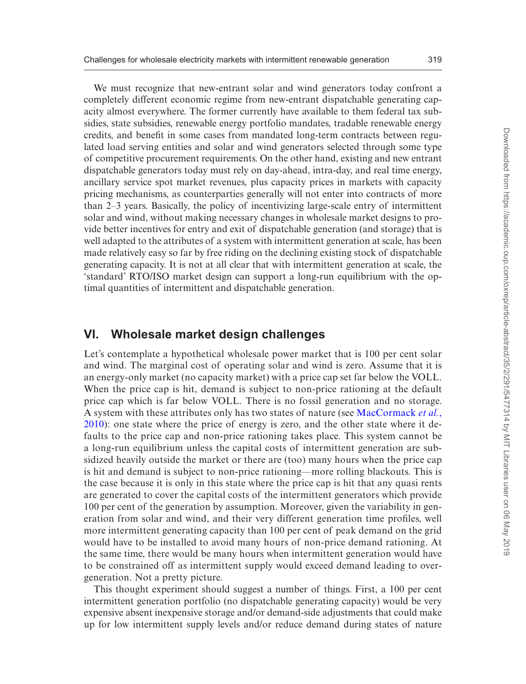We must recognize that new-entrant solar and wind generators today confront a completely different economic regime from new-entrant dispatchable generating capacity almost everywhere. The former currently have available to them federal tax subsidies, state subsidies, renewable energy portfolio mandates, tradable renewable energy credits, and benefit in some cases from mandated long-term contracts between regulated load serving entities and solar and wind generators selected through some type of competitive procurement requirements. On the other hand, existing and new entrant dispatchable generators today must rely on day-ahead, intra-day, and real time energy, ancillary service spot market revenues, plus capacity prices in markets with capacity pricing mechanisms, as counterparties generally will not enter into contracts of more than 2–3 years. Basically, the policy of incentivizing large-scale entry of intermittent solar and wind, without making necessary changes in wholesale market designs to provide better incentives for entry and exit of dispatchable generation (and storage) that is well adapted to the attributes of a system with intermittent generation at scale, has been made relatively easy so far by free riding on the declining existing stock of dispatchable generating capacity. It is not at all clear that with intermittent generation at scale, the 'standard' RTO/ISO market design can support a long-run equilibrium with the optimal quantities of intermittent and dispatchable generation.

## **VI. Wholesale market design challenges**

Let's contemplate a hypothetical wholesale power market that is 100 per cent solar and wind. The marginal cost of operating solar and wind is zero. Assume that it is an energy-only market (no capacity market) with a price cap set far below the VOLL. When the price cap is hit, demand is subject to non-price rationing at the default price cap which is far below VOLL. There is no fossil generation and no storage. A system with these attributes only has two states of nature (see [MacCormack](#page-40-10) *et al.*, [2010](#page-40-10)): one state where the price of energy is zero, and the other state where it defaults to the price cap and non-price rationing takes place. This system cannot be a long-run equilibrium unless the capital costs of intermittent generation are subsidized heavily outside the market or there are (too) many hours when the price cap is hit and demand is subject to non-price rationing—more rolling blackouts. This is the case because it is only in this state where the price cap is hit that any quasi rents are generated to cover the capital costs of the intermittent generators which provide 100 per cent of the generation by assumption. Moreover, given the variability in generation from solar and wind, and their very different generation time profiles, well more intermittent generating capacity than 100 per cent of peak demand on the grid would have to be installed to avoid many hours of non-price demand rationing. At the same time, there would be many hours when intermittent generation would have to be constrained off as intermittent supply would exceed demand leading to overgeneration. Not a pretty picture.

This thought experiment should suggest a number of things. First, a 100 per cent intermittent generation portfolio (no dispatchable generating capacity) would be very expensive absent inexpensive storage and/or demand-side adjustments that could make up for low intermittent supply levels and/or reduce demand during states of nature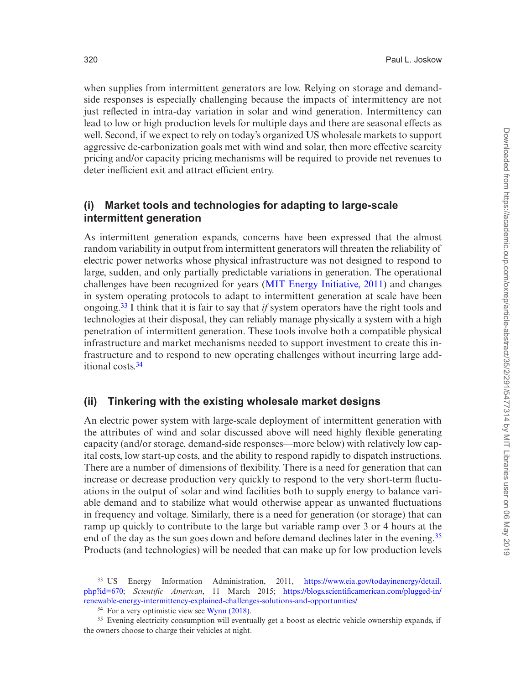when supplies from intermittent generators are low. Relying on storage and demandside responses is especially challenging because the impacts of intermittency are not just reflected in intra-day variation in solar and wind generation. Intermittency can lead to low or high production levels for multiple days and there are seasonal effects as well. Second, if we expect to rely on today's organized US wholesale markets to support aggressive de-carbonization goals met with wind and solar, then more effective scarcity pricing and/or capacity pricing mechanisms will be required to provide net revenues to deter inefficient exit and attract efficient entry.

### **(i) Market tools and technologies for adapting to large-scale intermittent generation**

As intermittent generation expands, concerns have been expressed that the almost random variability in output from intermittent generators will threaten the reliability of electric power networks whose physical infrastructure was not designed to respond to large, sudden, and only partially predictable variations in generation. The operational challenges have been recognized for years [\(MIT Energy Initiative, 2011\)](#page-40-12) and changes in system operating protocols to adapt to intermittent generation at scale have been ongoing.[33](#page-29-0) I think that it is fair to say that *if* system operators have the right tools and technologies at their disposal, they can reliably manage physically a system with a high penetration of intermittent generation. These tools involve both a compatible physical infrastructure and market mechanisms needed to support investment to create this infrastructure and to respond to new operating challenges without incurring large additional costs[.34](#page-29-1)

#### **(ii) Tinkering with the existing wholesale market designs**

An electric power system with large-scale deployment of intermittent generation with the attributes of wind and solar discussed above will need highly flexible generating capacity (and/or storage, demand-side responses—more below) with relatively low capital costs, low start-up costs, and the ability to respond rapidly to dispatch instructions. There are a number of dimensions of flexibility. There is a need for generation that can increase or decrease production very quickly to respond to the very short-term fluctuations in the output of solar and wind facilities both to supply energy to balance variable demand and to stabilize what would otherwise appear as unwanted fluctuations in frequency and voltage. Similarly, there is a need for generation (or storage) that can ramp up quickly to contribute to the large but variable ramp over 3 or 4 hours at the end of the day as the sun goes down and before demand declines later in the evening.<sup>35</sup> Products (and technologies) will be needed that can make up for low production levels

<span id="page-29-0"></span><sup>33</sup> US Energy Information Administration, 2011, [https://www.eia.gov/todayinenergy/detail.](https://www.eia.gov/todayinenergy/detail.php?id=670) [php?id=670](https://www.eia.gov/todayinenergy/detail.php?id=670); *Scientific American*, 11 March 2015; [https://blogs.scientificamerican.com/plugged-in/](https://blogs.scientificamerican.com/plugged-in/renewable-energy-intermittency-explained-challenges-solutions-and-opportunities/) [renewable-energy-intermittency-explained-challenges-solutions-and-opportunities/](https://blogs.scientificamerican.com/plugged-in/renewable-energy-intermittency-explained-challenges-solutions-and-opportunities/)

<span id="page-29-2"></span><span id="page-29-1"></span> $34$  For a very optimistic view see [Wynn \(2018\)](#page-40-13).

<sup>&</sup>lt;sup>35</sup> Evening electricity consumption will eventually get a boost as electric vehicle ownership expands, if the owners choose to charge their vehicles at night.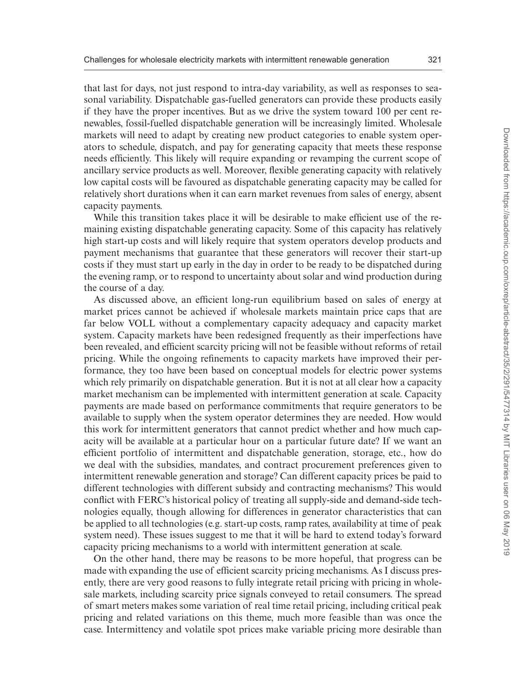that last for days, not just respond to intra-day variability, as well as responses to seasonal variability. Dispatchable gas-fuelled generators can provide these products easily if they have the proper incentives. But as we drive the system toward 100 per cent renewables, fossil-fuelled dispatchable generation will be increasingly limited. Wholesale markets will need to adapt by creating new product categories to enable system operators to schedule, dispatch, and pay for generating capacity that meets these response needs efficiently. This likely will require expanding or revamping the current scope of ancillary service products as well. Moreover, flexible generating capacity with relatively low capital costs will be favoured as dispatchable generating capacity may be called for relatively short durations when it can earn market revenues from sales of energy, absent capacity payments.

While this transition takes place it will be desirable to make efficient use of the remaining existing dispatchable generating capacity. Some of this capacity has relatively high start-up costs and will likely require that system operators develop products and payment mechanisms that guarantee that these generators will recover their start-up costs if they must start up early in the day in order to be ready to be dispatched during the evening ramp, or to respond to uncertainty about solar and wind production during the course of a day.

As discussed above, an efficient long-run equilibrium based on sales of energy at market prices cannot be achieved if wholesale markets maintain price caps that are far below VOLL without a complementary capacity adequacy and capacity market system. Capacity markets have been redesigned frequently as their imperfections have been revealed, and efficient scarcity pricing will not be feasible without reforms of retail pricing. While the ongoing refinements to capacity markets have improved their performance, they too have been based on conceptual models for electric power systems which rely primarily on dispatchable generation. But it is not at all clear how a capacity market mechanism can be implemented with intermittent generation at scale. Capacity payments are made based on performance commitments that require generators to be available to supply when the system operator determines they are needed. How would this work for intermittent generators that cannot predict whether and how much capacity will be available at a particular hour on a particular future date? If we want an efficient portfolio of intermittent and dispatchable generation, storage, etc., how do we deal with the subsidies, mandates, and contract procurement preferences given to intermittent renewable generation and storage? Can different capacity prices be paid to different technologies with different subsidy and contracting mechanisms? This would conflict with FERC's historical policy of treating all supply-side and demand-side technologies equally, though allowing for differences in generator characteristics that can be applied to all technologies (e.g. start-up costs, ramp rates, availability at time of peak system need). These issues suggest to me that it will be hard to extend today's forward capacity pricing mechanisms to a world with intermittent generation at scale.

On the other hand, there may be reasons to be more hopeful, that progress can be made with expanding the use of efficient scarcity pricing mechanisms. As I discuss presently, there are very good reasons to fully integrate retail pricing with pricing in wholesale markets, including scarcity price signals conveyed to retail consumers. The spread of smart meters makes some variation of real time retail pricing, including critical peak pricing and related variations on this theme, much more feasible than was once the case. Intermittency and volatile spot prices make variable pricing more desirable than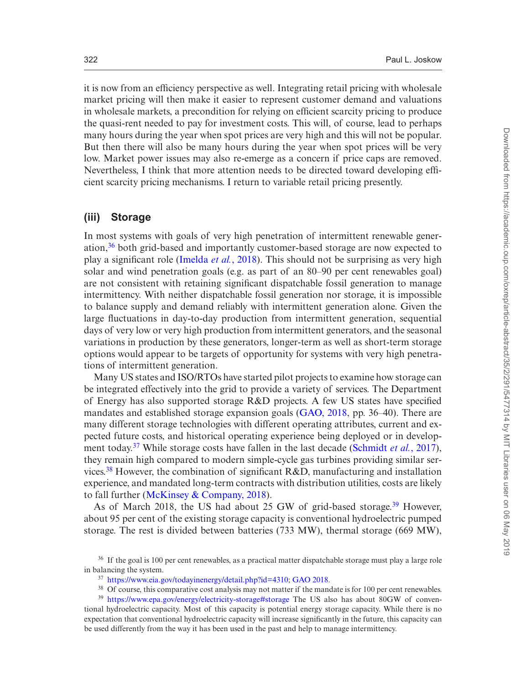it is now from an efficiency perspective as well. Integrating retail pricing with wholesale market pricing will then make it easier to represent customer demand and valuations in wholesale markets, a precondition for relying on efficient scarcity pricing to produce the quasi-rent needed to pay for investment costs. This will, of course, lead to perhaps many hours during the year when spot prices are very high and this will not be popular. But then there will also be many hours during the year when spot prices will be very low. Market power issues may also re-emerge as a concern if price caps are removed. Nevertheless, I think that more attention needs to be directed toward developing efficient scarcity pricing mechanisms. I return to variable retail pricing presently.

#### **(iii) Storage**

In most systems with goals of very high penetration of intermittent renewable generation,[36](#page-31-0) both grid-based and importantly customer-based storage are now expected to play a significant role ([Imelda](#page-39-20) *et al.*, 2018). This should not be surprising as very high solar and wind penetration goals (e.g. as part of an 80–90 per cent renewables goal) are not consistent with retaining significant dispatchable fossil generation to manage intermittency. With neither dispatchable fossil generation nor storage, it is impossible to balance supply and demand reliably with intermittent generation alone. Given the large fluctuations in day-to-day production from intermittent generation, sequential days of very low or very high production from intermittent generators, and the seasonal variations in production by these generators, longer-term as well as short-term storage options would appear to be targets of opportunity for systems with very high penetrations of intermittent generation.

Many US states and ISO/RTOs have started pilot projects to examine how storage can be integrated effectively into the grid to provide a variety of services. The Department of Energy has also supported storage R&D projects. A few US states have specified mandates and established storage expansion goals [\(GAO, 2018,](#page-39-21) pp. 36–40). There are many different storage technologies with different operating attributes, current and expected future costs, and historical operating experience being deployed or in development today[.37](#page-31-1) While storage costs have fallen in the last decade [\(Schmidt](#page-40-14) *et al.*, 2017), they remain high compared to modern simple-cycle gas turbines providing similar services.<sup>38</sup> However, the combination of significant  $R&D$ , manufacturing and installation experience, and mandated long-term contracts with distribution utilities, costs are likely to fall further ([McKinsey & Company, 2018](#page-40-15)).

As of March 2018, the US had about 25 GW of grid-based storage.<sup>39</sup> However, about 95 per cent of the existing storage capacity is conventional hydroelectric pumped storage. The rest is divided between batteries (733 MW), thermal storage (669 MW),

<sup>&</sup>lt;sup>36</sup> If the goal is 100 per cent renewables, as a practical matter dispatchable storage must play a large role in balancing the system.

<span id="page-31-1"></span><span id="page-31-0"></span><sup>37</sup> [https://www.eia.gov/todayinenergy/detail.php?id=4310;](https://www.eia.gov/todayinenergy/detail.php?id=4310) [GAO 2018](#page-39-21).

<span id="page-31-3"></span><span id="page-31-2"></span><sup>&</sup>lt;sup>38</sup> Of course, this comparative cost analysis may not matter if the mandate is for 100 per cent renewables.

<sup>39</sup> <https://www.epa.gov/energy/electricity-storage#storage>The US also has about 80GW of conventional hydroelectric capacity. Most of this capacity is potential energy storage capacity. While there is no expectation that conventional hydroelectric capacity will increase significantly in the future, this capacity can be used differently from the way it has been used in the past and help to manage intermittency.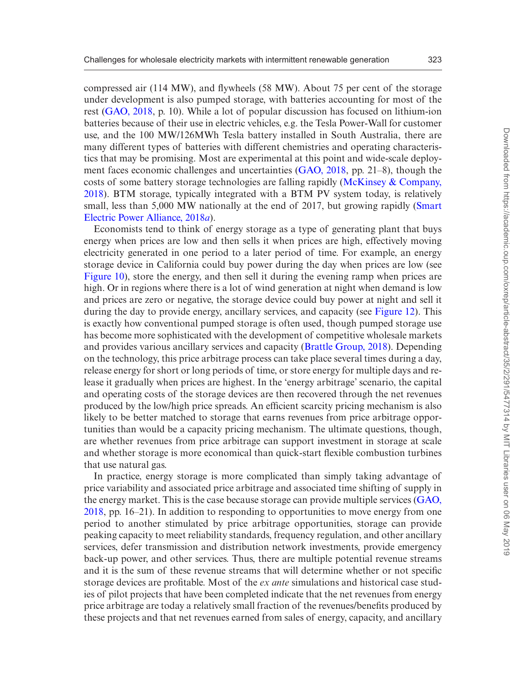compressed air (114 MW), and flywheels (58 MW). About 75 per cent of the storage under development is also pumped storage, with batteries accounting for most of the rest [\(GAO, 2018](#page-39-21), p. 10). While a lot of popular discussion has focused on lithium-ion batteries because of their use in electric vehicles, e.g. the Tesla Power-Wall for customer use, and the 100 MW/126MWh Tesla battery installed in South Australia, there are many different types of batteries with different chemistries and operating characteristics that may be promising. Most are experimental at this point and wide-scale deployment faces economic challenges and uncertainties [\(GAO, 2018,](#page-39-21) pp. 21–8), though the costs of some battery storage technologies are falling rapidly ([McKinsey & Company,](#page-40-15) [2018\)](#page-40-15). BTM storage, typically integrated with a BTM PV system today, is relatively small, less than 5,000 MW nationally at the end of 2017, but growing rapidly [\(Smart](#page-40-16) [Electric Power Alliance, 2018](#page-40-16)*a*).

Economists tend to think of energy storage as a type of generating plant that buys energy when prices are low and then sells it when prices are high, effectively moving electricity generated in one period to a later period of time. For example, an energy storage device in California could buy power during the day when prices are low (see [Figure 10\)](#page-23-1), store the energy, and then sell it during the evening ramp when prices are high. Or in regions where there is a lot of wind generation at night when demand is low and prices are zero or negative, the storage device could buy power at night and sell it during the day to provide energy, ancillary services, and capacity (see [Figure 12\)](#page-25-1). This is exactly how conventional pumped storage is often used, though pumped storage use has become more sophisticated with the development of competitive wholesale markets and provides various ancillary services and capacity [\(Brattle Group, 2018\)](#page-39-22). Depending on the technology, this price arbitrage process can take place several times during a day, release energy for short or long periods of time, or store energy for multiple days and release it gradually when prices are highest. In the 'energy arbitrage' scenario, the capital and operating costs of the storage devices are then recovered through the net revenues produced by the low/high price spreads. An efficient scarcity pricing mechanism is also likely to be better matched to storage that earns revenues from price arbitrage opportunities than would be a capacity pricing mechanism. The ultimate questions, though, are whether revenues from price arbitrage can support investment in storage at scale and whether storage is more economical than quick-start flexible combustion turbines that use natural gas.

In practice, energy storage is more complicated than simply taking advantage of price variability and associated price arbitrage and associated time shifting of supply in the energy market. This is the case because storage can provide multiple services ([GAO,](#page-39-21) [2018,](#page-39-21) pp. 16–21). In addition to responding to opportunities to move energy from one period to another stimulated by price arbitrage opportunities, storage can provide peaking capacity to meet reliability standards, frequency regulation, and other ancillary services, defer transmission and distribution network investments, provide emergency back-up power, and other services. Thus, there are multiple potential revenue streams and it is the sum of these revenue streams that will determine whether or not specific storage devices are profitable. Most of the *ex ante* simulations and historical case studies of pilot projects that have been completed indicate that the net revenues from energy price arbitrage are today a relatively small fraction of the revenues/benefits produced by these projects and that net revenues earned from sales of energy, capacity, and ancillary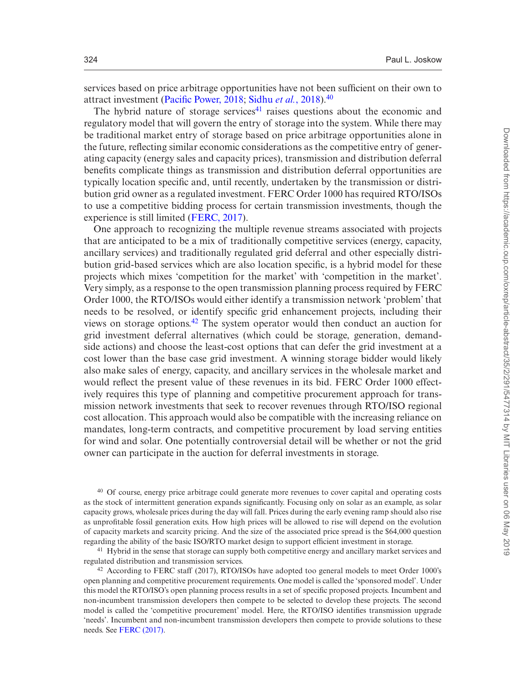services based on price arbitrage opportunities have not been sufficient on their own to attract investment [\(Pacific Power, 2018](#page-40-17); [Sidhu](#page-40-18) *et al.*, 2018).[40](#page-33-0)

The hybrid nature of storage services $41$  raises questions about the economic and regulatory model that will govern the entry of storage into the system. While there may be traditional market entry of storage based on price arbitrage opportunities alone in the future, reflecting similar economic considerations as the competitive entry of generating capacity (energy sales and capacity prices), transmission and distribution deferral benefits complicate things as transmission and distribution deferral opportunities are typically location specific and, until recently, undertaken by the transmission or distribution grid owner as a regulated investment. FERC Order 1000 has required RTO/ISOs to use a competitive bidding process for certain transmission investments, though the experience is still limited ([FERC, 2017](#page-39-23)).

One approach to recognizing the multiple revenue streams associated with projects that are anticipated to be a mix of traditionally competitive services (energy, capacity, ancillary services) and traditionally regulated grid deferral and other especially distribution grid-based services which are also location specific, is a hybrid model for these projects which mixes 'competition for the market' with 'competition in the market'. Very simply, as a response to the open transmission planning process required by FERC Order 1000, the RTO/ISOs would either identify a transmission network 'problem' that needs to be resolved, or identify specific grid enhancement projects, including their views on storage options[.42](#page-33-2) The system operator would then conduct an auction for grid investment deferral alternatives (which could be storage, generation, demandside actions) and choose the least-cost options that can defer the grid investment at a cost lower than the base case grid investment. A winning storage bidder would likely also make sales of energy, capacity, and ancillary services in the wholesale market and would reflect the present value of these revenues in its bid. FERC Order 1000 effectively requires this type of planning and competitive procurement approach for transmission network investments that seek to recover revenues through RTO/ISO regional cost allocation. This approach would also be compatible with the increasing reliance on mandates, long-term contracts, and competitive procurement by load serving entities for wind and solar. One potentially controversial detail will be whether or not the grid owner can participate in the auction for deferral investments in storage.

<span id="page-33-0"></span><sup>40</sup> Of course, energy price arbitrage could generate more revenues to cover capital and operating costs as the stock of intermittent generation expands significantly. Focusing only on solar as an example, as solar capacity grows, wholesale prices during the day will fall. Prices during the early evening ramp should also rise as unprofitable fossil generation exits. How high prices will be allowed to rise will depend on the evolution of capacity markets and scarcity pricing. And the size of the associated price spread is the \$64,000 question regarding the ability of the basic ISO/RTO market design to support efficient investment in storage.

<span id="page-33-1"></span><sup>41</sup> Hybrid in the sense that storage can supply both competitive energy and ancillary market services and regulated distribution and transmission services.

<span id="page-33-2"></span><sup>42</sup> According to FERC staff (2017), RTO/ISOs have adopted too general models to meet Order 1000's open planning and competitive procurement requirements. One model is called the 'sponsored model'. Under this model the RTO/ISO's open planning process results in a set of specific proposed projects. Incumbent and non-incumbent transmission developers then compete to be selected to develop these projects. The second model is called the 'competitive procurement' model. Here, the RTO/ISO identifies transmission upgrade 'needs'. Incumbent and non-incumbent transmission developers then compete to provide solutions to these needs. See [FERC \(2017\).](#page-39-23)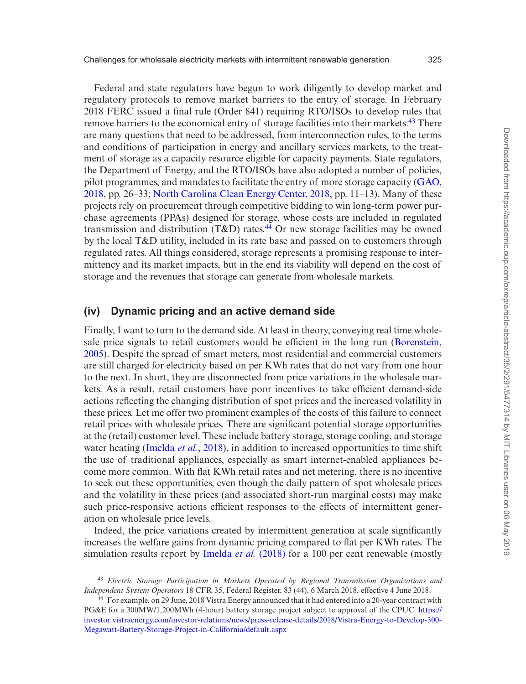Federal and state regulators have begun to work diligently to develop market and regulatory protocols to remove market barriers to the entry of storage. In February 2018 FERC issued a final rule (Order 841) requiring RTO/ISOs to develop rules that remove barriers to the economical entry of storage facilities into their markets.<sup>43</sup> There are many questions that need to be addressed, from interconnection rules, to the terms and conditions of participation in energy and ancillary services markets, to the treatment of storage as a capacity resource eligible for capacity payments. State regulators, the Department of Energy, and the RTO/ISOs have also adopted a number of policies, pilot programmes, and mandates to facilitate the entry of more storage capacity ([GAO,](#page-39-21) [2018,](#page-39-21) pp. 26–33; [North Carolina Clean Energy Center, 2018,](#page-40-19) pp. 11–13). Many of these projects rely on procurement through competitive bidding to win long-term power purchase agreements (PPAs) designed for storage, whose costs are included in regulated transmission and distribution (T&D) rates.<sup>44</sup> Or new storage facilities may be owned by the local T&D utility, included in its rate base and passed on to customers through regulated rates. All things considered, storage represents a promising response to intermittency and its market impacts, but in the end its viability will depend on the cost of storage and the revenues that storage can generate from wholesale markets.

#### **(iv) Dynamic pricing and an active demand side**

Finally, I want to turn to the demand side. At least in theory, conveying real time wholesale price signals to retail customers would be efficient in the long run ([Borenstein,](#page-39-24) [2005\)](#page-39-24). Despite the spread of smart meters, most residential and commercial customers are still charged for electricity based on per KWh rates that do not vary from one hour to the next. In short, they are disconnected from price variations in the wholesale markets. As a result, retail customers have poor incentives to take efficient demand-side actions reflecting the changing distribution of spot prices and the increased volatility in these prices. Let me offer two prominent examples of the costs of this failure to connect retail prices with wholesale prices. There are significant potential storage opportunities at the (retail) customer level. These include battery storage, storage cooling, and storage water heating ([Imelda](#page-39-20) *et al.*, 2018), in addition to increased opportunities to time shift the use of traditional appliances, especially as smart internet-enabled appliances become more common. With flat KWh retail rates and net metering, there is no incentive to seek out these opportunities, even though the daily pattern of spot wholesale prices and the volatility in these prices (and associated short-run marginal costs) may make such price-responsive actions efficient responses to the effects of intermittent generation on wholesale price levels.

Indeed, the price variations created by intermittent generation at scale significantly increases the welfare gains from dynamic pricing compared to flat per KWh rates. The simulation results report by [Imelda](#page-39-20) *et al.* (2018) for a 100 per cent renewable (mostly

<span id="page-34-0"></span><sup>43</sup> *Electric Storage Participation in Markets Operated by Regional Transmission Organizations and Independent System Operators* 18 CFR 35, Federal Register, 83 (44), 6 March 2018, effective 4 June 2018.

<span id="page-34-1"></span><sup>44</sup> For example, on 29 June, 2018 Vistra Energy announced that it had entered into a 20-year contract with PG&E for a 300MW/1,200MWh (4-hour) battery storage project subject to approval of the CPUC. [https://](https://investor.vistraenergy.com/investor-relations/news/press-release-details/2018/Vistra-Energy-to-Develop-300-Megawatt-Battery-Storage-Project-in-California/default.aspx) [investor.vistraenergy.com/investor-relations/news/press-release-details/2018/Vistra-Energy-to-Develop-300-](https://investor.vistraenergy.com/investor-relations/news/press-release-details/2018/Vistra-Energy-to-Develop-300-Megawatt-Battery-Storage-Project-in-California/default.aspx) [Megawatt-Battery-Storage-Project-in-California/default.aspx](https://investor.vistraenergy.com/investor-relations/news/press-release-details/2018/Vistra-Energy-to-Develop-300-Megawatt-Battery-Storage-Project-in-California/default.aspx)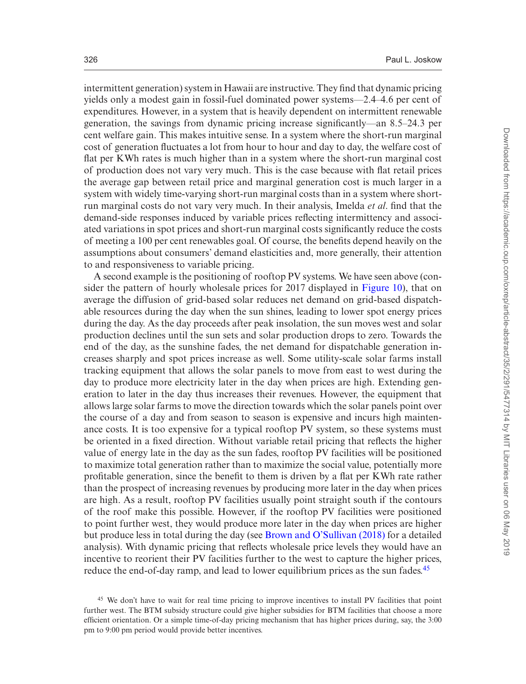intermittent generation) system in Hawaii are instructive. They find that dynamic pricing yields only a modest gain in fossil-fuel dominated power systems—2.4–4.6 per cent of expenditures. However, in a system that is heavily dependent on intermittent renewable generation, the savings from dynamic pricing increase significantly—an 8.5–24.3 per cent welfare gain. This makes intuitive sense. In a system where the short-run marginal cost of generation fluctuates a lot from hour to hour and day to day, the welfare cost of flat per KWh rates is much higher than in a system where the short-run marginal cost of production does not vary very much. This is the case because with flat retail prices the average gap between retail price and marginal generation cost is much larger in a system with widely time-varying short-run marginal costs than in a system where shortrun marginal costs do not vary very much. In their analysis, Imelda *et al*. find that the demand-side responses induced by variable prices reflecting intermittency and associated variations in spot prices and short-run marginal costs significantly reduce the costs of meeting a 100 per cent renewables goal. Of course, the benefits depend heavily on the assumptions about consumers' demand elasticities and, more generally, their attention to and responsiveness to variable pricing.

A second example is the positioning of rooftop PV systems. We have seen above (consider the pattern of hourly wholesale prices for 2017 displayed in [Figure 10\)](#page-23-1), that on average the diffusion of grid-based solar reduces net demand on grid-based dispatchable resources during the day when the sun shines, leading to lower spot energy prices during the day. As the day proceeds after peak insolation, the sun moves west and solar production declines until the sun sets and solar production drops to zero. Towards the end of the day, as the sunshine fades, the net demand for dispatchable generation increases sharply and spot prices increase as well. Some utility-scale solar farms install tracking equipment that allows the solar panels to move from east to west during the day to produce more electricity later in the day when prices are high. Extending generation to later in the day thus increases their revenues. However, the equipment that allows large solar farms to move the direction towards which the solar panels point over the course of a day and from season to season is expensive and incurs high maintenance costs. It is too expensive for a typical rooftop PV system, so these systems must be oriented in a fixed direction. Without variable retail pricing that reflects the higher value of energy late in the day as the sun fades, rooftop PV facilities will be positioned to maximize total generation rather than to maximize the social value, potentially more profitable generation, since the benefit to them is driven by a flat per KWh rate rather than the prospect of increasing revenues by producing more later in the day when prices are high. As a result, rooftop PV facilities usually point straight south if the contours of the roof make this possible. However, if the rooftop PV facilities were positioned to point further west, they would produce more later in the day when prices are higher but produce less in total during the day (see [Brown and O'Sullivan \(2018\)](#page-39-25) for a detailed analysis). With dynamic pricing that reflects wholesale price levels they would have an incentive to reorient their PV facilities further to the west to capture the higher prices, reduce the end-of-day ramp, and lead to lower equilibrium prices as the sun fades.<sup>[45](#page-35-0)</sup>

<span id="page-35-0"></span><sup>45</sup> We don't have to wait for real time pricing to improve incentives to install PV facilities that point further west. The BTM subsidy structure could give higher subsidies for BTM facilities that choose a more efficient orientation. Or a simple time-of-day pricing mechanism that has higher prices during, say, the 3:00 pm to 9:00 pm period would provide better incentives.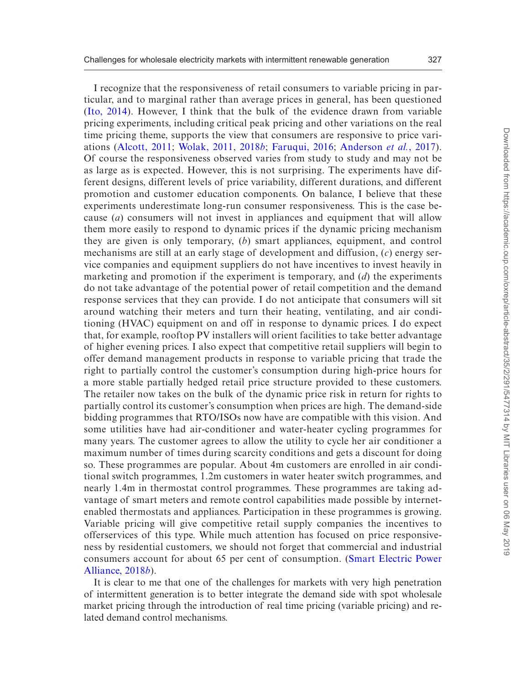I recognize that the responsiveness of retail consumers to variable pricing in particular, and to marginal rather than average prices in general, has been questioned ([Ito, 2014\)](#page-39-26). However, I think that the bulk of the evidence drawn from variable pricing experiments, including critical peak pricing and other variations on the real time pricing theme, supports the view that consumers are responsive to price variations ([Alcott, 2011](#page-38-0); [Wolak, 2011,](#page-40-20) [2018](#page-40-1)*b*; [Faruqui, 2016;](#page-39-27) [Anderson](#page-38-1) *et al.*, 2017). Of course the responsiveness observed varies from study to study and may not be as large as is expected. However, this is not surprising. The experiments have different designs, different levels of price variability, different durations, and different promotion and customer education components. On balance, I believe that these experiments underestimate long-run consumer responsiveness. This is the case because (*a*) consumers will not invest in appliances and equipment that will allow them more easily to respond to dynamic prices if the dynamic pricing mechanism they are given is only temporary, (*b*) smart appliances, equipment, and control mechanisms are still at an early stage of development and diffusion, (*c*) energy service companies and equipment suppliers do not have incentives to invest heavily in marketing and promotion if the experiment is temporary, and (*d*) the experiments do not take advantage of the potential power of retail competition and the demand response services that they can provide. I do not anticipate that consumers will sit around watching their meters and turn their heating, ventilating, and air conditioning (HVAC) equipment on and off in response to dynamic prices. I do expect that, for example, rooftop PV installers will orient facilities to take better advantage of higher evening prices. I also expect that competitive retail suppliers will begin to offer demand management products in response to variable pricing that trade the right to partially control the customer's consumption during high-price hours for a more stable partially hedged retail price structure provided to these customers. The retailer now takes on the bulk of the dynamic price risk in return for rights to partially control its customer's consumption when prices are high. The demand-side bidding programmes that RTO/ISOs now have are compatible with this vision. And some utilities have had air-conditioner and water-heater cycling programmes for many years. The customer agrees to allow the utility to cycle her air conditioner a maximum number of times during scarcity conditions and gets a discount for doing so. These programmes are popular. About 4m customers are enrolled in air conditional switch programmes, 1.2m customers in water heater switch programmes, and nearly 1.4m in thermostat control programmes. These programmes are taking advantage of smart meters and remote control capabilities made possible by internetenabled thermostats and appliances. Participation in these programmes is growing. Variable pricing will give competitive retail supply companies the incentives to offerservices of this type. While much attention has focused on price responsiveness by residential customers, we should not forget that commercial and industrial consumers account for about 65 per cent of consumption. [\(Smart Electric Power](#page-40-21) [Alliance, 2018](#page-40-21)*b*).

It is clear to me that one of the challenges for markets with very high penetration of intermittent generation is to better integrate the demand side with spot wholesale market pricing through the introduction of real time pricing (variable pricing) and related demand control mechanisms.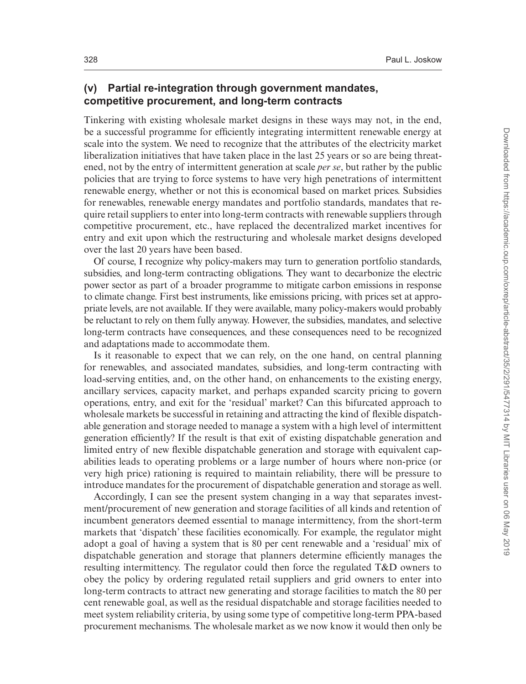#### **(v) Partial re-integration through government mandates, competitive procurement, and long-term contracts**

Tinkering with existing wholesale market designs in these ways may not, in the end, be a successful programme for efficiently integrating intermittent renewable energy at scale into the system. We need to recognize that the attributes of the electricity market liberalization initiatives that have taken place in the last 25 years or so are being threatened, not by the entry of intermittent generation at scale *per se*, but rather by the public policies that are trying to force systems to have very high penetrations of intermittent renewable energy, whether or not this is economical based on market prices. Subsidies for renewables, renewable energy mandates and portfolio standards, mandates that require retail suppliers to enter into long-term contracts with renewable suppliers through competitive procurement, etc., have replaced the decentralized market incentives for entry and exit upon which the restructuring and wholesale market designs developed over the last 20 years have been based.

Of course, I recognize why policy-makers may turn to generation portfolio standards, subsidies, and long-term contracting obligations. They want to decarbonize the electric power sector as part of a broader programme to mitigate carbon emissions in response to climate change. First best instruments, like emissions pricing, with prices set at appropriate levels, are not available. If they were available, many policy-makers would probably be reluctant to rely on them fully anyway. However, the subsidies, mandates, and selective long-term contracts have consequences, and these consequences need to be recognized and adaptations made to accommodate them.

Is it reasonable to expect that we can rely, on the one hand, on central planning for renewables, and associated mandates, subsidies, and long-term contracting with load-serving entities, and, on the other hand, on enhancements to the existing energy, ancillary services, capacity market, and perhaps expanded scarcity pricing to govern operations, entry, and exit for the 'residual' market? Can this bifurcated approach to wholesale markets be successful in retaining and attracting the kind of flexible dispatchable generation and storage needed to manage a system with a high level of intermittent generation efficiently? If the result is that exit of existing dispatchable generation and limited entry of new flexible dispatchable generation and storage with equivalent capabilities leads to operating problems or a large number of hours where non-price (or very high price) rationing is required to maintain reliability, there will be pressure to introduce mandates for the procurement of dispatchable generation and storage as well.

Accordingly, I can see the present system changing in a way that separates investment/procurement of new generation and storage facilities of all kinds and retention of incumbent generators deemed essential to manage intermittency, from the short-term markets that 'dispatch' these facilities economically. For example, the regulator might adopt a goal of having a system that is 80 per cent renewable and a 'residual' mix of dispatchable generation and storage that planners determine efficiently manages the resulting intermittency. The regulator could then force the regulated T&D owners to obey the policy by ordering regulated retail suppliers and grid owners to enter into long-term contracts to attract new generating and storage facilities to match the 80 per cent renewable goal, as well as the residual dispatchable and storage facilities needed to meet system reliability criteria, by using some type of competitive long-term PPA-based procurement mechanisms. The wholesale market as we now know it would then only be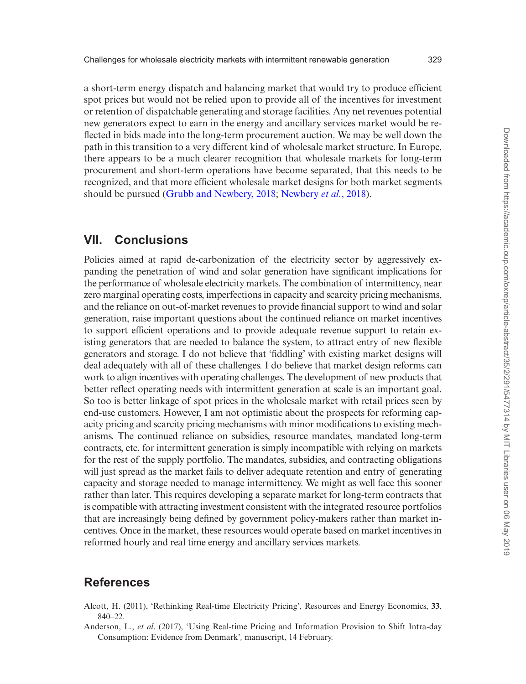a short-term energy dispatch and balancing market that would try to produce efficient spot prices but would not be relied upon to provide all of the incentives for investment or retention of dispatchable generating and storage facilities. Any net revenues potential new generators expect to earn in the energy and ancillary services market would be reflected in bids made into the long-term procurement auction. We may be well down the path in this transition to a very different kind of wholesale market structure. In Europe, there appears to be a much clearer recognition that wholesale markets for long-term procurement and short-term operations have become separated, that this needs to be recognized, and that more efficient wholesale market designs for both market segments should be pursued [\(Grubb and Newbery, 2018](#page-39-28); [Newbery](#page-40-22) *et al.*, 2018).

## **VII. Conclusions**

Policies aimed at rapid de-carbonization of the electricity sector by aggressively expanding the penetration of wind and solar generation have significant implications for the performance of wholesale electricity markets. The combination of intermittency, near zero marginal operating costs, imperfections in capacity and scarcity pricing mechanisms, and the reliance on out-of-market revenues to provide financial support to wind and solar generation, raise important questions about the continued reliance on market incentives to support efficient operations and to provide adequate revenue support to retain existing generators that are needed to balance the system, to attract entry of new flexible generators and storage. I do not believe that 'fiddling' with existing market designs will deal adequately with all of these challenges. I do believe that market design reforms can work to align incentives with operating challenges. The development of new products that better reflect operating needs with intermittent generation at scale is an important goal. So too is better linkage of spot prices in the wholesale market with retail prices seen by end-use customers. However, I am not optimistic about the prospects for reforming capacity pricing and scarcity pricing mechanisms with minor modifications to existing mechanisms. The continued reliance on subsidies, resource mandates, mandated long-term contracts, etc. for intermittent generation is simply incompatible with relying on markets for the rest of the supply portfolio. The mandates, subsidies, and contracting obligations will just spread as the market fails to deliver adequate retention and entry of generating capacity and storage needed to manage intermittency. We might as well face this sooner rather than later. This requires developing a separate market for long-term contracts that is compatible with attracting investment consistent with the integrated resource portfolios that are increasingly being defined by government policy-makers rather than market incentives. Once in the market, these resources would operate based on market incentives in reformed hourly and real time energy and ancillary services markets.

## **References**

- <span id="page-38-0"></span>Alcott, H. (2011), 'Rethinking Real-time Electricity Pricing', Resources and Energy Economics, **33**, 840–22.
- <span id="page-38-1"></span>Anderson, L., *et al*. (2017), 'Using Real-time Pricing and Information Provision to Shift Intra-day Consumption: Evidence from Denmark'*,* manuscript, 14 February.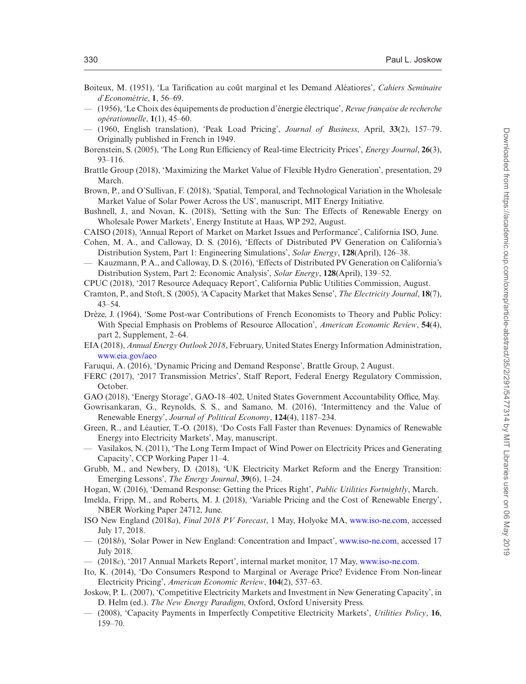- <span id="page-39-5"></span>Boiteux, M. (1951), 'La Tarification au coȗt marginal et les Demand Aléatiores', *Cahiers Seminaire d'Econométrie*, **1**, 56–69.
- <span id="page-39-6"></span>— (1956), 'Le Choix des équipements de production d'énergie électrique', *Revue française de recherche opérationnelle*, **1**(1), 45–60.
- <span id="page-39-8"></span>— (1960, English translation), 'Peak Load Pricing', *Journal of Business*, April, **33**(2), 157–79. Originally published in French in 1949.
- <span id="page-39-24"></span>Borenstein, S. (2005), 'The Long Run Efficiency of Real-time Electricity Prices', *Energy Journal*, **26**(3), 93–116.
- <span id="page-39-22"></span>Brattle Group (2018), 'Maximizing the Market Value of Flexible Hydro Generation', presentation, 29 March.
- <span id="page-39-25"></span>Brown, P., and O'Sullivan, F. (2018), 'Spatial, Temporal, and Technological Variation in the Wholesale Market Value of Solar Power Across the US', manuscript, MIT Energy Initiative.
- <span id="page-39-15"></span>Bushnell, J., and Novan, K. (2018), 'Setting with the Sun: The Effects of Renewable Energy on Wholesale Power Markets', Energy Institute at Haas, WP 292, August.
- <span id="page-39-18"></span>CAISO (2018), 'Annual Report of Market on Market Issues and Performance', California ISO, June.
- <span id="page-39-1"></span>Cohen, M. A., and Calloway, D. S. (2016), 'Effects of Distributed PV Generation on California's Distribution System, Part 1: Engineering Simulations', *Solar Energy*, **128**(April), 126–38.
- <span id="page-39-2"></span>— Kauzmann, P. A., and Calloway, D. S. (2016), 'Effects of Distributed PV Generation on California's Distribution System, Part 2: Economic Analysis', *Solar Energy*, **128**(April), 139–52.
- <span id="page-39-19"></span>CPUC (2018), '2017 Resource Adequacy Report', California Public Utilities Commission, August.
- <span id="page-39-10"></span>Cramton, P., and Stoft, S. (2005), 'A Capacity Market that Makes Sense', *The Electricity Journal*, **18**(7), 43–54.
- <span id="page-39-7"></span>Drèze, J. (1964), 'Some Post-war Contributions of French Economists to Theory and Public Policy: With Special Emphasis on Problems of Resource Allocation', *American Economic Review*, **54**(4), part 2, Supplement, 2–64.
- <span id="page-39-4"></span>EIA (2018), *Annual Energy Outlook 2018*, February, United States Energy Information Administration, [www.eia.gov/aeo](http://www.eia.gov/aeo)
- <span id="page-39-27"></span>Faruqui, A. (2016), 'Dynamic Pricing and Demand Response', Brattle Group, 2 August.
- <span id="page-39-23"></span>FERC (2017), '2017 Transmission Metrics', Staff Report, Federal Energy Regulatory Commission, October.
- <span id="page-39-21"></span>GAO (2018), 'Energy Storage', GAO-18–402, United States Government Accountability Office, May.
- <span id="page-39-3"></span>Gowrisankaran, G., Reynolds, S. S., and Samano, M. (2016), 'Intermittency and the Value of Renewable Energy', *Journal of Political Economy*, **124**(4), 1187–234.
- <span id="page-39-14"></span>Green, R., and Léautier, T.-O. (2018), 'Do Costs Fall Faster than Revenues: Dynamics of Renewable Energy into Electricity Markets', May, manuscript.
- <span id="page-39-13"></span>— Vasilakos, N. (2011), 'The Long Term Impact of Wind Power on Electricity Prices and Generating Capacity', CCP Working Paper 11–4.
- <span id="page-39-28"></span>Grubb, M., and Newbery, D. (2018), 'UK Electricity Market Reform and the Energy Transition: Emerging Lessons', *The Energy Journal*, **39**(6), 1–24.
- <span id="page-39-11"></span>Hogan, W. (2016), 'Demand Response: Getting the Prices Right', *Public Utilities Fortnightly*, March.
- <span id="page-39-20"></span>Imelda, Fripp, M., and Roberts, M. J. (2018), 'Variable Pricing and the Cost of Renewable Energy', NBER Working Paper 24712, June.
- <span id="page-39-17"></span>ISO New England (2018*a*), *Final 2018 PV Forecast*, 1 May, Holyoke MA, [www.iso-ne.com,](http://www.iso-ne.com) accessed July 17, 2018.
- <span id="page-39-16"></span>— (2018*b*), 'Solar Power in New England: Concentration and Impact', [www.iso-ne.com](http://www.iso-ne.com), accessed 17 July 2018.
- <span id="page-39-12"></span>— (2018*c*), '2017 Annual Markets Report', internal market monitor, 17 May, [www.iso-ne.com](http://www.iso-ne.com).
- <span id="page-39-26"></span>Ito, K. (2014), 'Do Consumers Respond to Marginal or Average Price? Evidence From Non-linear Electricity Pricing', *American Economic Review*, **104**(2), 537–63.
- <span id="page-39-0"></span>Joskow, P. L. (2007), 'Competitive Electricity Markets and Investment in New Generating Capacity', in D. Helm (ed.). *The New Energy Paradigm*, Oxford, Oxford University Press.
- <span id="page-39-9"></span>— (2008), 'Capacity Payments in Imperfectly Competitive Electricity Markets', *Utilities Policy*, **16**, 159–70.